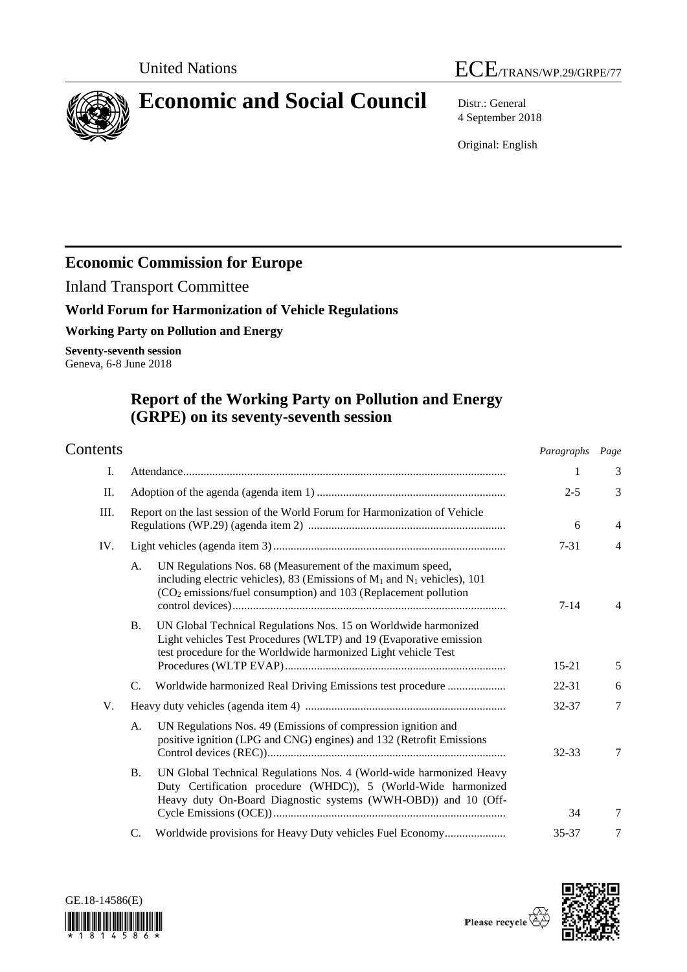

# **Economic and Social Council** Distr.: General

4 September 2018

Original: English

## **Economic Commission for Europe**

Inland Transport Committee

## **World Forum for Harmonization of Vehicle Regulations**

**Working Party on Pollution and Energy**

**Seventy-seventh session** Geneva, 6-8 June 2018

## **Report of the Working Party on Pollution and Energy (GRPE) on its seventy-seventh session**

| Contents |                                                                                                                                                                                                                                 | Paragraphs Page |                |
|----------|---------------------------------------------------------------------------------------------------------------------------------------------------------------------------------------------------------------------------------|-----------------|----------------|
| I.       |                                                                                                                                                                                                                                 | 1               | 3              |
| П.       |                                                                                                                                                                                                                                 | $2 - 5$         | 3              |
| Ш.       | Report on the last session of the World Forum for Harmonization of Vehicle                                                                                                                                                      | 6               | $\overline{4}$ |
| IV.      |                                                                                                                                                                                                                                 | $7 - 31$        | $\overline{4}$ |
|          | UN Regulations Nos. 68 (Measurement of the maximum speed,<br>A.<br>including electric vehicles), 83 (Emissions of $M_1$ and $N_1$ vehicles), 101<br>(CO <sub>2</sub> emissions/fuel consumption) and 103 (Replacement pollution | $7 - 14$        | $\overline{4}$ |
|          | UN Global Technical Regulations Nos. 15 on Worldwide harmonized<br><b>B.</b><br>Light vehicles Test Procedures (WLTP) and 19 (Evaporative emission<br>test procedure for the Worldwide harmonized Light vehicle Test            | $15 - 21$       | 5              |
|          | Worldwide harmonized Real Driving Emissions test procedure<br>C.                                                                                                                                                                | 22-31           | 6              |
| V.       |                                                                                                                                                                                                                                 | 32-37           | $\overline{7}$ |
|          | UN Regulations Nos. 49 (Emissions of compression ignition and<br>А.<br>positive ignition (LPG and CNG) engines) and 132 (Retrofit Emissions                                                                                     | 32-33           | 7              |
|          | UN Global Technical Regulations Nos. 4 (World-wide harmonized Heavy<br><b>B.</b><br>Duty Certification procedure (WHDC)), 5 (World-Wide harmonized<br>Heavy duty On-Board Diagnostic systems (WWH-OBD)) and 10 (Off-            | 34              | 7              |
|          | Worldwide provisions for Heavy Duty vehicles Fuel Economy<br>C.                                                                                                                                                                 | 35-37           | 7              |
|          |                                                                                                                                                                                                                                 |                 |                |



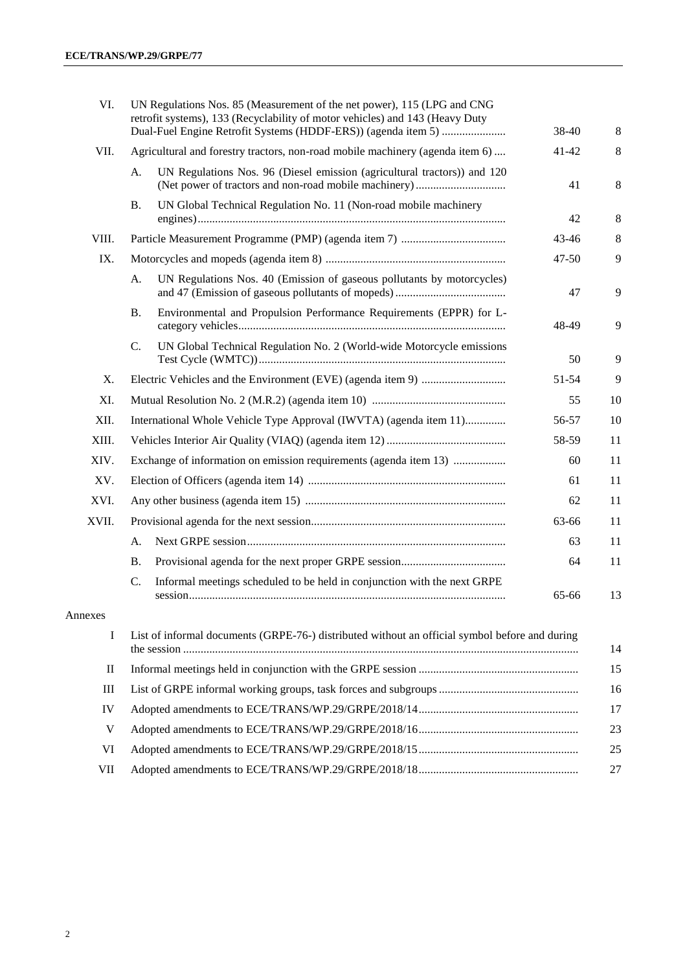| VI.          | UN Regulations Nos. 85 (Measurement of the net power), 115 (LPG and CNG<br>retrofit systems), 133 (Recyclability of motor vehicles) and 143 (Heavy Duty |                                                                                                | 38-40     | 8  |
|--------------|---------------------------------------------------------------------------------------------------------------------------------------------------------|------------------------------------------------------------------------------------------------|-----------|----|
| VII.         |                                                                                                                                                         | Agricultural and forestry tractors, non-road mobile machinery (agenda item 6)                  | 41-42     | 8  |
|              | A.                                                                                                                                                      | UN Regulations Nos. 96 (Diesel emission (agricultural tractors)) and 120                       | 41        | 8  |
|              | <b>B.</b>                                                                                                                                               | UN Global Technical Regulation No. 11 (Non-road mobile machinery                               | 42        | 8  |
| VIII.        |                                                                                                                                                         |                                                                                                | 43-46     | 8  |
| IX.          |                                                                                                                                                         |                                                                                                | $47 - 50$ | 9  |
|              | A.                                                                                                                                                      | UN Regulations Nos. 40 (Emission of gaseous pollutants by motorcycles)                         | 47        | 9  |
|              | <b>B.</b>                                                                                                                                               | Environmental and Propulsion Performance Requirements (EPPR) for L-                            | 48-49     | 9  |
|              | C.                                                                                                                                                      | UN Global Technical Regulation No. 2 (World-wide Motorcycle emissions                          | 50        | 9  |
| Χ.           |                                                                                                                                                         |                                                                                                | 51-54     | 9  |
| XI.          |                                                                                                                                                         |                                                                                                | 55        | 10 |
| XII.         | International Whole Vehicle Type Approval (IWVTA) (agenda item 11)                                                                                      |                                                                                                | 56-57     | 10 |
| XIII.        |                                                                                                                                                         |                                                                                                |           | 11 |
| XIV.         |                                                                                                                                                         | Exchange of information on emission requirements (agenda item 13)                              | 60        | 11 |
| XV.          |                                                                                                                                                         |                                                                                                | 61        | 11 |
| XVI.         |                                                                                                                                                         |                                                                                                | 62        | 11 |
| XVII.        |                                                                                                                                                         |                                                                                                | 63-66     | 11 |
|              | A.                                                                                                                                                      |                                                                                                | 63        | 11 |
|              | <b>B.</b>                                                                                                                                               |                                                                                                | 64        | 11 |
|              | C.                                                                                                                                                      | Informal meetings scheduled to be held in conjunction with the next GRPE                       | 65-66     | 13 |
| Annexes      |                                                                                                                                                         |                                                                                                |           |    |
| I            |                                                                                                                                                         | List of informal documents (GRPE-76-) distributed without an official symbol before and during |           | 14 |
| $\mathbf{I}$ |                                                                                                                                                         |                                                                                                |           | 15 |
| Ш            |                                                                                                                                                         |                                                                                                |           | 16 |
| IV           |                                                                                                                                                         |                                                                                                |           | 17 |
| V            |                                                                                                                                                         |                                                                                                |           | 23 |
| VI           |                                                                                                                                                         |                                                                                                |           | 25 |
| VII          |                                                                                                                                                         |                                                                                                |           | 27 |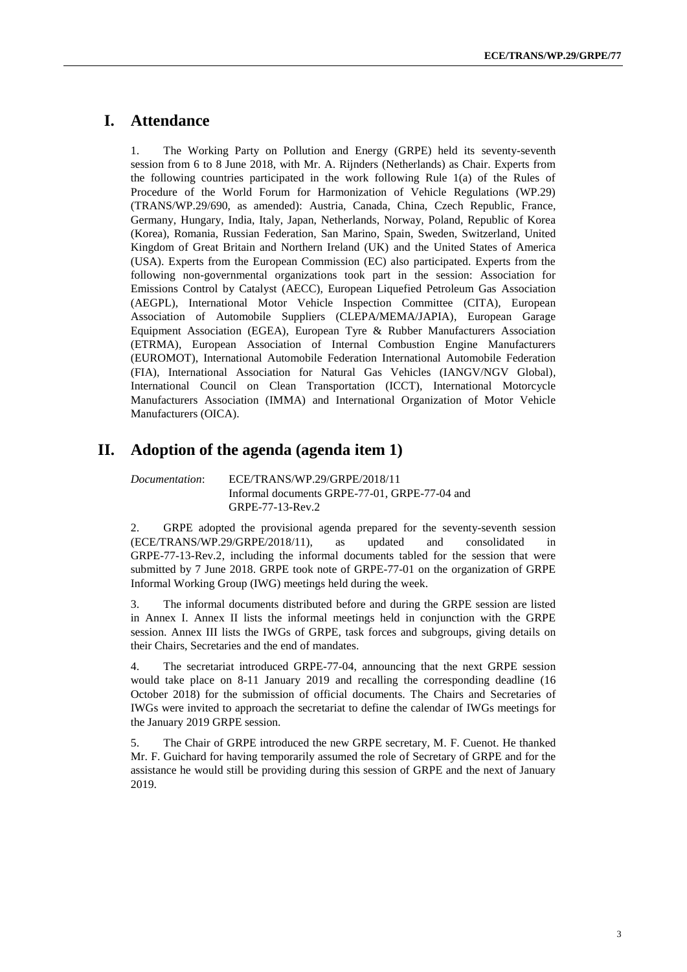### **I. Attendance**

1. The Working Party on Pollution and Energy (GRPE) held its seventy-seventh session from 6 to 8 June 2018, with Mr. A. Rijnders (Netherlands) as Chair. Experts from the following countries participated in the work following Rule 1(a) of the Rules of Procedure of the World Forum for Harmonization of Vehicle Regulations (WP.29) (TRANS/WP.29/690, as amended): Austria, Canada, China, Czech Republic, France, Germany, Hungary, India, Italy, Japan, Netherlands, Norway, Poland, Republic of Korea (Korea), Romania, Russian Federation, San Marino, Spain, Sweden, Switzerland, United Kingdom of Great Britain and Northern Ireland (UK) and the United States of America (USA). Experts from the European Commission (EC) also participated. Experts from the following non-governmental organizations took part in the session: Association for Emissions Control by Catalyst (AECC), European Liquefied Petroleum Gas Association (AEGPL), International Motor Vehicle Inspection Committee (CITA), European Association of Automobile Suppliers (CLEPA/MEMA/JAPIA), European Garage Equipment Association (EGEA), European Tyre & Rubber Manufacturers Association (ETRMA), European Association of Internal Combustion Engine Manufacturers (EUROMOT), International Automobile Federation International Automobile Federation (FIA), International Association for Natural Gas Vehicles (IANGV/NGV Global), International Council on Clean Transportation (ICCT), International Motorcycle Manufacturers Association (IMMA) and International Organization of Motor Vehicle Manufacturers (OICA).

## **II. Adoption of the agenda (agenda item 1)**

*Documentation*: ECE/TRANS/WP.29/GRPE/2018/11 Informal documents GRPE-77-01, GRPE-77-04 and GRPE-77-13-Rev.2

2. GRPE adopted the provisional agenda prepared for the seventy-seventh session (ECE/TRANS/WP.29/GRPE/2018/11), as updated and consolidated in GRPE-77-13-Rev.2, including the informal documents tabled for the session that were submitted by 7 June 2018. GRPE took note of GRPE-77-01 on the organization of GRPE Informal Working Group (IWG) meetings held during the week.

3. The informal documents distributed before and during the GRPE session are listed in Annex I. Annex II lists the informal meetings held in conjunction with the GRPE session. Annex III lists the IWGs of GRPE, task forces and subgroups, giving details on their Chairs, Secretaries and the end of mandates.

4. The secretariat introduced GRPE-77-04, announcing that the next GRPE session would take place on 8-11 January 2019 and recalling the corresponding deadline (16 October 2018) for the submission of official documents. The Chairs and Secretaries of IWGs were invited to approach the secretariat to define the calendar of IWGs meetings for the January 2019 GRPE session.

5. The Chair of GRPE introduced the new GRPE secretary, M. F. Cuenot. He thanked Mr. F. Guichard for having temporarily assumed the role of Secretary of GRPE and for the assistance he would still be providing during this session of GRPE and the next of January 2019.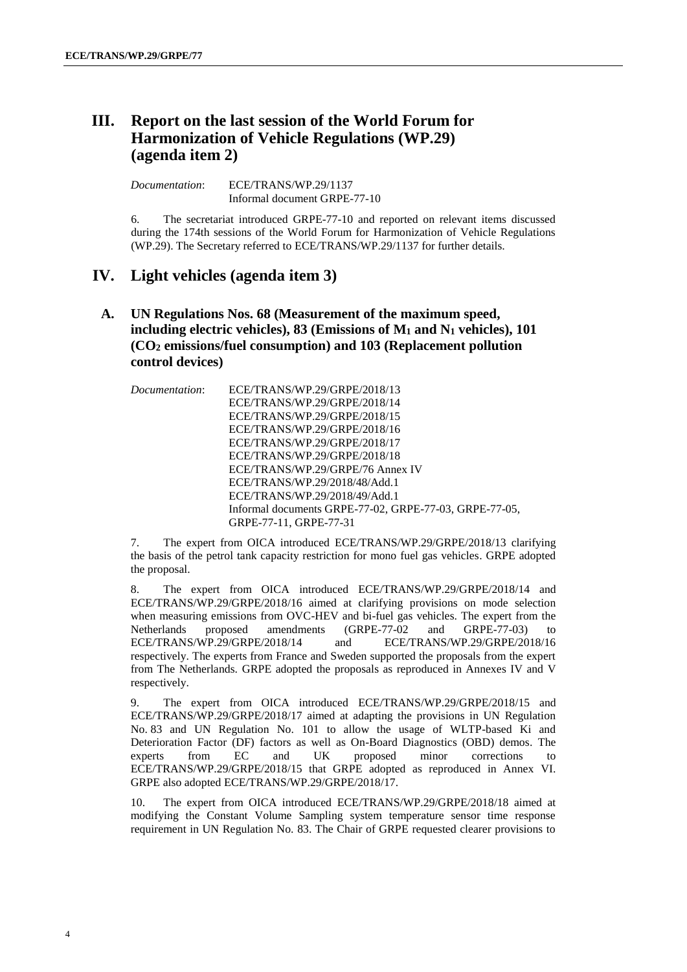## **III. Report on the last session of the World Forum for Harmonization of Vehicle Regulations (WP.29) (agenda item 2)**

*Documentation*: ECE/TRANS/WP.29/1137 Informal document GRPE-77-10

6. The secretariat introduced GRPE-77-10 and reported on relevant items discussed during the 174th sessions of the World Forum for Harmonization of Vehicle Regulations (WP.29). The Secretary referred to ECE/TRANS/WP.29/1137 for further details.

## **IV. Light vehicles (agenda item 3)**

### **A. UN Regulations Nos. 68 (Measurement of the maximum speed, including electric vehicles), 83 (Emissions of M<sup>1</sup> and N<sup>1</sup> vehicles), 101 (CO<sup>2</sup> emissions/fuel consumption) and 103 (Replacement pollution control devices)**

*Documentation*: ECE/TRANS/WP.29/GRPE/2018/13 ECE/TRANS/WP.29/GRPE/2018/14 ECE/TRANS/WP.29/GRPE/2018/15 ECE/TRANS/WP.29/GRPE/2018/16 ECE/TRANS/WP.29/GRPE/2018/17 ECE/TRANS/WP.29/GRPE/2018/18 ECE/TRANS/WP.29/GRPE/76 Annex IV ECE/TRANS/WP.29/2018/48/Add.1 ECE/TRANS/WP.29/2018/49/Add.1 Informal documents GRPE-77-02, GRPE-77-03, GRPE-77-05, GRPE-77-11, GRPE-77-31

7. The expert from OICA introduced ECE/TRANS/WP.29/GRPE/2018/13 clarifying the basis of the petrol tank capacity restriction for mono fuel gas vehicles. GRPE adopted the proposal.

8. The expert from OICA introduced ECE/TRANS/WP.29/GRPE/2018/14 and ECE/TRANS/WP.29/GRPE/2018/16 aimed at clarifying provisions on mode selection when measuring emissions from OVC-HEV and bi-fuel gas vehicles. The expert from the Netherlands proposed amendments (GRPE-77-02 and GRPE-77-03) to proposed amendments (GRPE-77-02 and GRPE-77-03) to ECE/TRANS/WP.29/GRPE/2018/14 and ECE/TRANS/WP.29/GRPE/2018/16 respectively. The experts from France and Sweden supported the proposals from the expert from The Netherlands. GRPE adopted the proposals as reproduced in Annexes IV and V respectively.

9. The expert from OICA introduced ECE/TRANS/WP.29/GRPE/2018/15 and ECE/TRANS/WP.29/GRPE/2018/17 aimed at adapting the provisions in UN Regulation No. 83 and UN Regulation No. 101 to allow the usage of WLTP-based Ki and Deterioration Factor (DF) factors as well as On-Board Diagnostics (OBD) demos. The experts from EC and UK proposed minor corrections to experts from EC and UK proposed minor corrections to ECE/TRANS/WP.29/GRPE/2018/15 that GRPE adopted as reproduced in Annex VI. GRPE also adopted ECE/TRANS/WP.29/GRPE/2018/17.

The expert from OICA introduced ECE/TRANS/WP.29/GRPE/2018/18 aimed at modifying the Constant Volume Sampling system temperature sensor time response requirement in UN Regulation No. 83. The Chair of GRPE requested clearer provisions to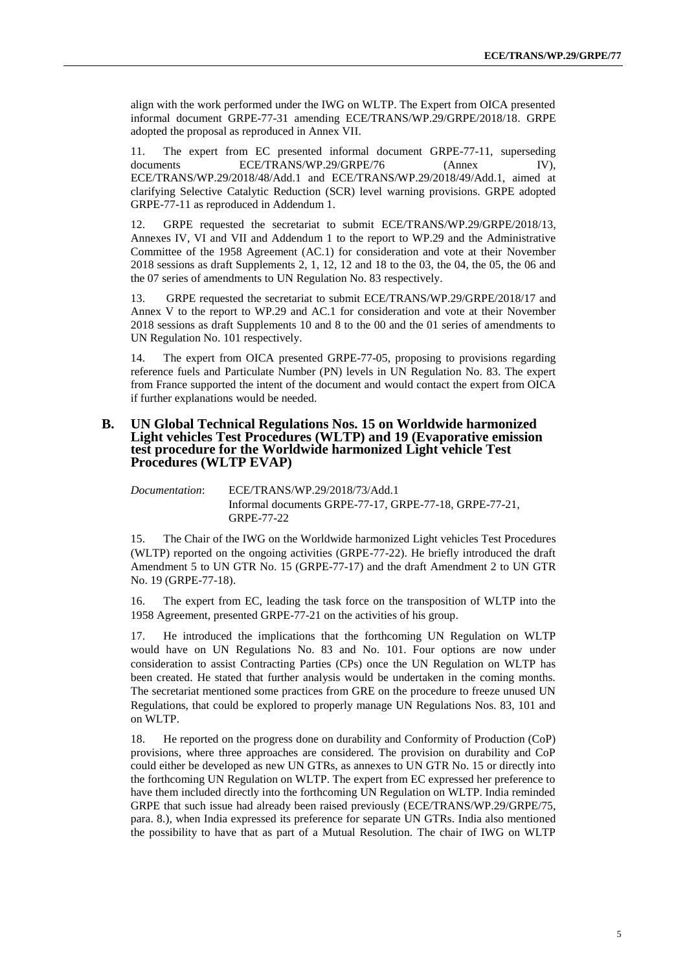align with the work performed under the IWG on WLTP. The Expert from OICA presented informal document GRPE-77-31 amending ECE/TRANS/WP.29/GRPE/2018/18. GRPE adopted the proposal as reproduced in Annex VII.

11. The expert from EC presented informal document GRPE-77-11, superseding documents **ECE/TRANS/WP.29/GRPE/76** (Annex IV), ECE/TRANS/WP.29/2018/48/Add.1 and ECE/TRANS/WP.29/2018/49/Add.1, aimed at clarifying Selective Catalytic Reduction (SCR) level warning provisions. GRPE adopted GRPE-77-11 as reproduced in Addendum 1.

12. GRPE requested the secretariat to submit ECE/TRANS/WP.29/GRPE/2018/13, Annexes IV, VI and VII and Addendum 1 to the report to WP.29 and the Administrative Committee of the 1958 Agreement (AC.1) for consideration and vote at their November  $2018$  sessions as draft Supplements 2, 1, 12, 12 and 18 to the 03, the 04, the 05, the 06 and the 07 series of amendments to UN Regulation No. 83 respectively.

13. GRPE requested the secretariat to submit ECE/TRANS/WP.29/GRPE/2018/17 and Annex V to the report to WP.29 and AC.1 for consideration and vote at their November 2018 sessions as draft Supplements 10 and 8 to the 00 and the 01 series of amendments to UN Regulation No. 101 respectively.

14. The expert from OICA presented GRPE-77-05, proposing to provisions regarding reference fuels and Particulate Number (PN) levels in UN Regulation No. 83. The expert from France supported the intent of the document and would contact the expert from OICA if further explanations would be needed.

#### **B. UN Global Technical Regulations Nos. 15 on Worldwide harmonized Light vehicles Test Procedures (WLTP) and 19 (Evaporative emission test procedure for the Worldwide harmonized Light vehicle Test Procedures (WLTP EVAP)**

*Documentation*: ECE/TRANS/WP.29/2018/73/Add.1 Informal documents GRPE-77-17, GRPE-77-18, GRPE-77-21, GRPE-77-22

15. The Chair of the IWG on the Worldwide harmonized Light vehicles Test Procedures (WLTP) reported on the ongoing activities (GRPE-77-22). He briefly introduced the draft Amendment 5 to UN GTR No. 15 (GRPE-77-17) and the draft Amendment 2 to UN GTR No. 19 (GRPE-77-18).

16. The expert from EC, leading the task force on the transposition of WLTP into the 1958 Agreement, presented GRPE-77-21 on the activities of his group.

17. He introduced the implications that the forthcoming UN Regulation on WLTP would have on UN Regulations No. 83 and No. 101. Four options are now under consideration to assist Contracting Parties (CPs) once the UN Regulation on WLTP has been created. He stated that further analysis would be undertaken in the coming months. The secretariat mentioned some practices from GRE on the procedure to freeze unused UN Regulations, that could be explored to properly manage UN Regulations Nos. 83, 101 and on WLTP.

18. He reported on the progress done on durability and Conformity of Production (CoP) provisions, where three approaches are considered. The provision on durability and CoP could either be developed as new UN GTRs, as annexes to UN GTR No. 15 or directly into the forthcoming UN Regulation on WLTP. The expert from EC expressed her preference to have them included directly into the forthcoming UN Regulation on WLTP. India reminded GRPE that such issue had already been raised previously (ECE/TRANS/WP.29/GRPE/75, para. 8.), when India expressed its preference for separate UN GTRs. India also mentioned the possibility to have that as part of a Mutual Resolution. The chair of IWG on WLTP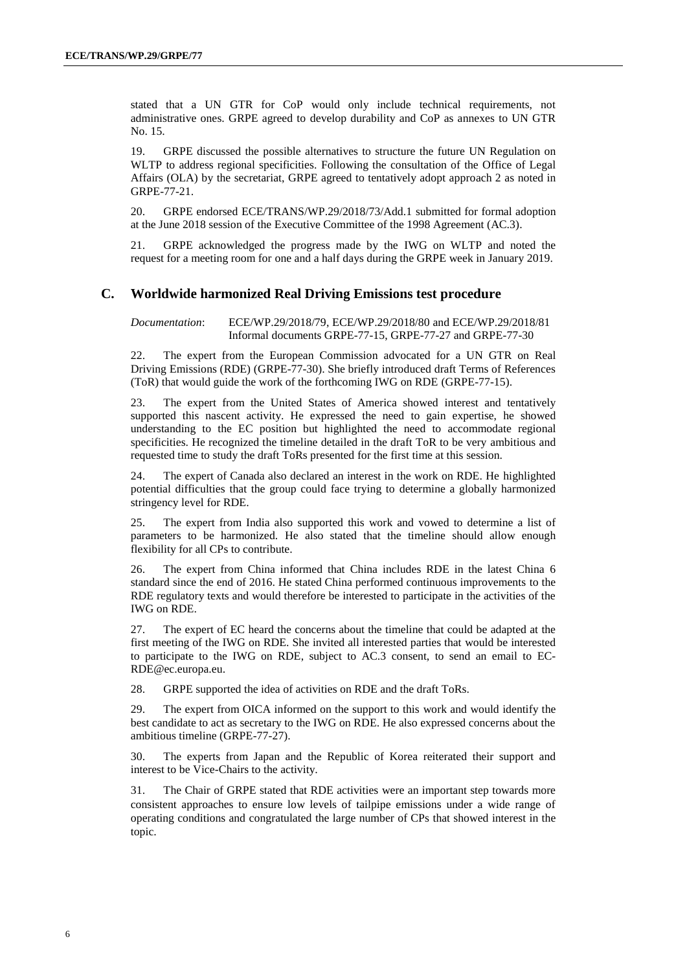stated that a UN GTR for CoP would only include technical requirements, not administrative ones. GRPE agreed to develop durability and CoP as annexes to UN GTR No. 15.

19. GRPE discussed the possible alternatives to structure the future UN Regulation on WLTP to address regional specificities. Following the consultation of the Office of Legal Affairs (OLA) by the secretariat, GRPE agreed to tentatively adopt approach 2 as noted in GRPE-77-21.

20. GRPE endorsed ECE/TRANS/WP.29/2018/73/Add.1 submitted for formal adoption at the June 2018 session of the Executive Committee of the 1998 Agreement (AC.3).

21. GRPE acknowledged the progress made by the IWG on WLTP and noted the request for a meeting room for one and a half days during the GRPE week in January 2019.

#### **C. Worldwide harmonized Real Driving Emissions test procedure**

*Documentation*: ECE/WP.29/2018/79, ECE/WP.29/2018/80 and ECE/WP.29/2018/81 Informal documents GRPE-77-15, GRPE-77-27 and GRPE-77-30

22. The expert from the European Commission advocated for a UN GTR on Real Driving Emissions (RDE) (GRPE-77-30). She briefly introduced draft Terms of References (ToR) that would guide the work of the forthcoming IWG on RDE (GRPE-77-15).

23. The expert from the United States of America showed interest and tentatively supported this nascent activity. He expressed the need to gain expertise, he showed understanding to the EC position but highlighted the need to accommodate regional specificities. He recognized the timeline detailed in the draft ToR to be very ambitious and requested time to study the draft ToRs presented for the first time at this session.

24. The expert of Canada also declared an interest in the work on RDE. He highlighted potential difficulties that the group could face trying to determine a globally harmonized stringency level for RDE.

25. The expert from India also supported this work and vowed to determine a list of parameters to be harmonized. He also stated that the timeline should allow enough flexibility for all CPs to contribute.

26. The expert from China informed that China includes RDE in the latest China 6 standard since the end of 2016. He stated China performed continuous improvements to the RDE regulatory texts and would therefore be interested to participate in the activities of the IWG on RDE.

27. The expert of EC heard the concerns about the timeline that could be adapted at the first meeting of the IWG on RDE. She invited all interested parties that would be interested to participate to the IWG on RDE, subject to AC.3 consent, to send an email to [EC-](mailto:EC-RDE@ec.europa.eu)[RDE@ec.europa.eu.](mailto:EC-RDE@ec.europa.eu)

28. GRPE supported the idea of activities on RDE and the draft ToRs.

29. The expert from OICA informed on the support to this work and would identify the best candidate to act as secretary to the IWG on RDE. He also expressed concerns about the ambitious timeline (GRPE-77-27).

30. The experts from Japan and the Republic of Korea reiterated their support and interest to be Vice-Chairs to the activity.

31. The Chair of GRPE stated that RDE activities were an important step towards more consistent approaches to ensure low levels of tailpipe emissions under a wide range of operating conditions and congratulated the large number of CPs that showed interest in the topic.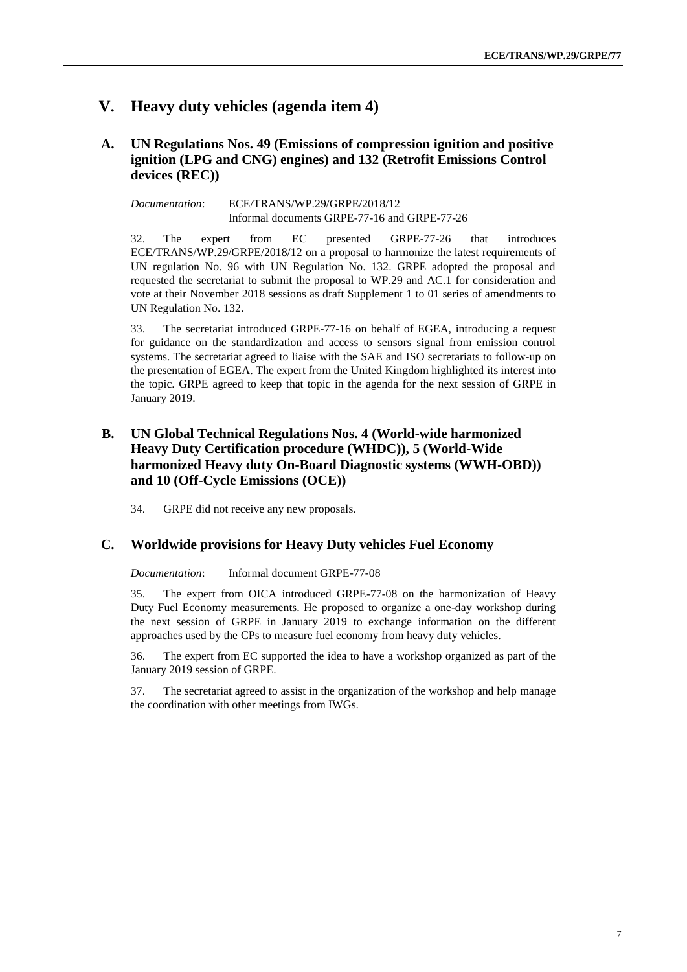## **V. Heavy duty vehicles (agenda item 4)**

#### **A. UN Regulations Nos. 49 (Emissions of compression ignition and positive ignition (LPG and CNG) engines) and 132 (Retrofit Emissions Control devices (REC))**

*Documentation*: ECE/TRANS/WP.29/GRPE/2018/12 Informal documents GRPE-77-16 and GRPE-77-26

32. The expert from EC presented GRPE-77-26 that introduces ECE/TRANS/WP.29/GRPE/2018/12 on a proposal to harmonize the latest requirements of UN regulation No. 96 with UN Regulation No. 132. GRPE adopted the proposal and requested the secretariat to submit the proposal to WP.29 and AC.1 for consideration and vote at their November 2018 sessions as draft Supplement 1 to 01 series of amendments to UN Regulation No. 132.

33. The secretariat introduced GRPE-77-16 on behalf of EGEA, introducing a request for guidance on the standardization and access to sensors signal from emission control systems. The secretariat agreed to liaise with the SAE and ISO secretariats to follow-up on the presentation of EGEA. The expert from the United Kingdom highlighted its interest into the topic. GRPE agreed to keep that topic in the agenda for the next session of GRPE in January 2019.

#### **B. UN Global Technical Regulations Nos. 4 (World-wide harmonized Heavy Duty Certification procedure (WHDC)), 5 (World-Wide harmonized Heavy duty On-Board Diagnostic systems (WWH-OBD)) and 10 (Off-Cycle Emissions (OCE))**

34. GRPE did not receive any new proposals.

#### **C. Worldwide provisions for Heavy Duty vehicles Fuel Economy**

*Documentation*: Informal document GRPE-77-08

35. The expert from OICA introduced GRPE-77-08 on the harmonization of Heavy Duty Fuel Economy measurements. He proposed to organize a one-day workshop during the next session of GRPE in January 2019 to exchange information on the different approaches used by the CPs to measure fuel economy from heavy duty vehicles.

36. The expert from EC supported the idea to have a workshop organized as part of the January 2019 session of GRPE.

37. The secretariat agreed to assist in the organization of the workshop and help manage the coordination with other meetings from IWGs.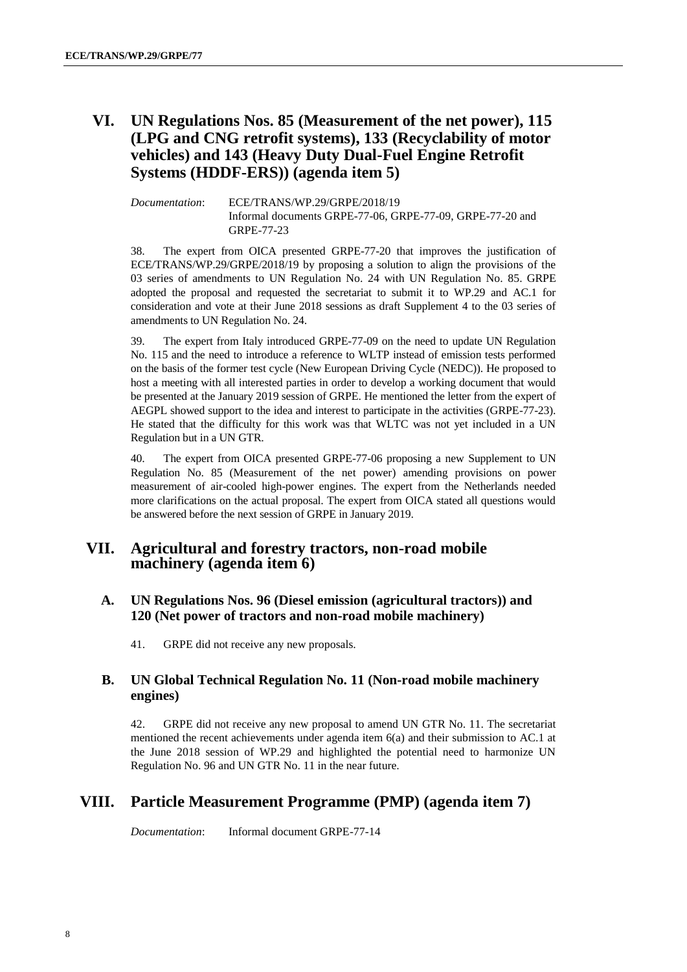## **VI. UN Regulations Nos. 85 (Measurement of the net power), 115 (LPG and CNG retrofit systems), 133 (Recyclability of motor vehicles) and 143 (Heavy Duty Dual-Fuel Engine Retrofit Systems (HDDF-ERS)) (agenda item 5)**

*Documentation*: ECE/TRANS/WP.29/GRPE/2018/19 Informal documents GRPE-77-06, GRPE-77-09, GRPE-77-20 and GRPE-77-23

38. The expert from OICA presented GRPE-77-20 that improves the justification of ECE/TRANS/WP.29/GRPE/2018/19 by proposing a solution to align the provisions of the 03 series of amendments to UN Regulation No. 24 with UN Regulation No. 85. GRPE adopted the proposal and requested the secretariat to submit it to WP.29 and AC.1 for consideration and vote at their June 2018 sessions as draft Supplement 4 to the 03 series of amendments to UN Regulation No. 24.

39. The expert from Italy introduced GRPE-77-09 on the need to update UN Regulation No. 115 and the need to introduce a reference to WLTP instead of emission tests performed on the basis of the former test cycle (New European Driving Cycle (NEDC)). He proposed to host a meeting with all interested parties in order to develop a working document that would be presented at the January 2019 session of GRPE. He mentioned the letter from the expert of AEGPL showed support to the idea and interest to participate in the activities (GRPE-77-23). He stated that the difficulty for this work was that WLTC was not yet included in a UN Regulation but in a UN GTR.

40. The expert from OICA presented GRPE-77-06 proposing a new Supplement to UN Regulation No. 85 (Measurement of the net power) amending provisions on power measurement of air-cooled high-power engines. The expert from the Netherlands needed more clarifications on the actual proposal. The expert from OICA stated all questions would be answered before the next session of GRPE in January 2019.

### **VII. Agricultural and forestry tractors, non-road mobile machinery (agenda item 6)**

- **A. UN Regulations Nos. 96 (Diesel emission (agricultural tractors)) and 120 (Net power of tractors and non-road mobile machinery)**
	- 41. GRPE did not receive any new proposals.

#### **B. UN Global Technical Regulation No. 11 (Non-road mobile machinery engines)**

42. GRPE did not receive any new proposal to amend UN GTR No. 11. The secretariat mentioned the recent achievements under agenda item  $6(a)$  and their submission to AC.1 at the June 2018 session of WP.29 and highlighted the potential need to harmonize UN Regulation No. 96 and UN GTR No. 11 in the near future.

## **VIII. Particle Measurement Programme (PMP) (agenda item 7)**

*Documentation*: Informal document GRPE-77-14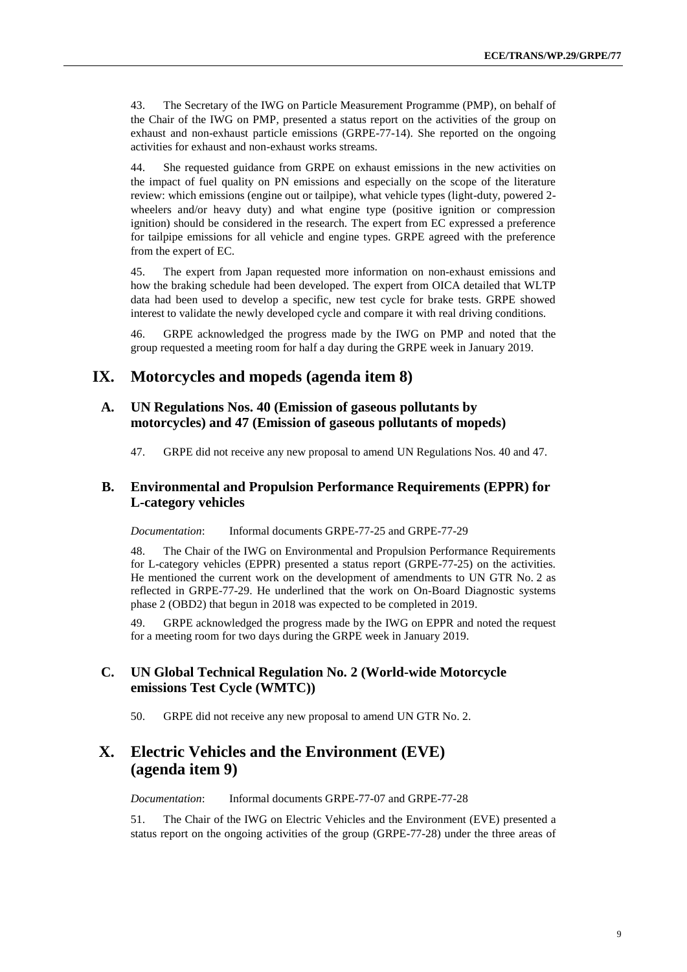43. The Secretary of the IWG on Particle Measurement Programme (PMP), on behalf of the Chair of the IWG on PMP, presented a status report on the activities of the group on exhaust and non-exhaust particle emissions (GRPE-77-14). She reported on the ongoing activities for exhaust and non-exhaust works streams.

44. She requested guidance from GRPE on exhaust emissions in the new activities on the impact of fuel quality on PN emissions and especially on the scope of the literature review: which emissions (engine out or tailpipe), what vehicle types (light-duty, powered 2 wheelers and/or heavy duty) and what engine type (positive ignition or compression ignition) should be considered in the research. The expert from EC expressed a preference for tailpipe emissions for all vehicle and engine types. GRPE agreed with the preference from the expert of EC.

45. The expert from Japan requested more information on non-exhaust emissions and how the braking schedule had been developed. The expert from OICA detailed that WLTP data had been used to develop a specific, new test cycle for brake tests. GRPE showed interest to validate the newly developed cycle and compare it with real driving conditions.

46. GRPE acknowledged the progress made by the IWG on PMP and noted that the group requested a meeting room for half a day during the GRPE week in January 2019.

### **IX. Motorcycles and mopeds (agenda item 8)**

#### **A. UN Regulations Nos. 40 (Emission of gaseous pollutants by motorcycles) and 47 (Emission of gaseous pollutants of mopeds)**

47. GRPE did not receive any new proposal to amend UN Regulations Nos. 40 and 47.

#### **B. Environmental and Propulsion Performance Requirements (EPPR) for L-category vehicles**

*Documentation*: Informal documents GRPE-77-25 and GRPE-77-29

48. The Chair of the IWG on Environmental and Propulsion Performance Requirements for L-category vehicles (EPPR) presented a status report (GRPE-77-25) on the activities. He mentioned the current work on the development of amendments to UN GTR No. 2 as reflected in GRPE-77-29. He underlined that the work on On-Board Diagnostic systems phase 2 (OBD2) that begun in 2018 was expected to be completed in 2019.

49. GRPE acknowledged the progress made by the IWG on EPPR and noted the request for a meeting room for two days during the GRPE week in January 2019.

#### **C. UN Global Technical Regulation No. 2 (World-wide Motorcycle emissions Test Cycle (WMTC))**

50. GRPE did not receive any new proposal to amend UN GTR No. 2.

### **X. Electric Vehicles and the Environment (EVE) (agenda item 9)**

*Documentation*: Informal documents GRPE-77-07 and GRPE-77-28

51. The Chair of the IWG on Electric Vehicles and the Environment (EVE) presented a status report on the ongoing activities of the group (GRPE-77-28) under the three areas of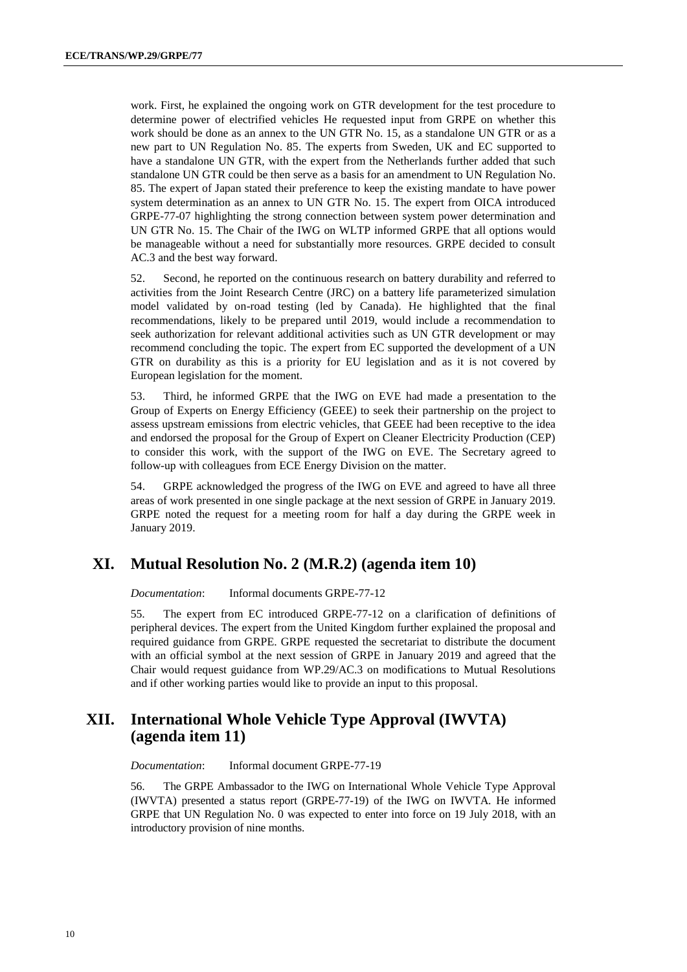work. First, he explained the ongoing work on GTR development for the test procedure to determine power of electrified vehicles He requested input from GRPE on whether this work should be done as an annex to the UN GTR No. 15, as a standalone UN GTR or as a new part to UN Regulation No. 85. The experts from Sweden, UK and EC supported to have a standalone UN GTR, with the expert from the Netherlands further added that such standalone UN GTR could be then serve as a basis for an amendment to UN Regulation No. 85. The expert of Japan stated their preference to keep the existing mandate to have power system determination as an annex to UN GTR No. 15. The expert from OICA introduced GRPE-77-07 highlighting the strong connection between system power determination and UN GTR No. 15. The Chair of the IWG on WLTP informed GRPE that all options would be manageable without a need for substantially more resources. GRPE decided to consult AC.3 and the best way forward.

52. Second, he reported on the continuous research on battery durability and referred to activities from the Joint Research Centre (JRC) on a battery life parameterized simulation model validated by on-road testing (led by Canada). He highlighted that the final recommendations, likely to be prepared until 2019, would include a recommendation to seek authorization for relevant additional activities such as UN GTR development or may recommend concluding the topic. The expert from EC supported the development of a UN GTR on durability as this is a priority for EU legislation and as it is not covered by European legislation for the moment.

53. Third, he informed GRPE that the IWG on EVE had made a presentation to the Group of Experts on Energy Efficiency (GEEE) to seek their partnership on the project to assess upstream emissions from electric vehicles, that GEEE had been receptive to the idea and endorsed the proposal for the Group of Expert on Cleaner Electricity Production (CEP) to consider this work, with the support of the IWG on EVE. The Secretary agreed to follow-up with colleagues from ECE Energy Division on the matter.

54. GRPE acknowledged the progress of the IWG on EVE and agreed to have all three areas of work presented in one single package at the next session of GRPE in January 2019. GRPE noted the request for a meeting room for half a day during the GRPE week in January 2019.

#### **XI. Mutual Resolution No. 2 (M.R.2) (agenda item 10)**

*Documentation*: Informal documents GRPE-77-12

55. The expert from EC introduced GRPE-77-12 on a clarification of definitions of peripheral devices. The expert from the United Kingdom further explained the proposal and required guidance from GRPE. GRPE requested the secretariat to distribute the document with an official symbol at the next session of GRPE in January 2019 and agreed that the Chair would request guidance from WP.29/AC.3 on modifications to Mutual Resolutions and if other working parties would like to provide an input to this proposal.

### **XII. International Whole Vehicle Type Approval (IWVTA) (agenda item 11)**

*Documentation*: Informal document GRPE-77-19

56. The GRPE Ambassador to the IWG on International Whole Vehicle Type Approval (IWVTA) presented a status report (GRPE-77-19) of the IWG on IWVTA. He informed GRPE that UN Regulation No. 0 was expected to enter into force on 19 July 2018, with an introductory provision of nine months.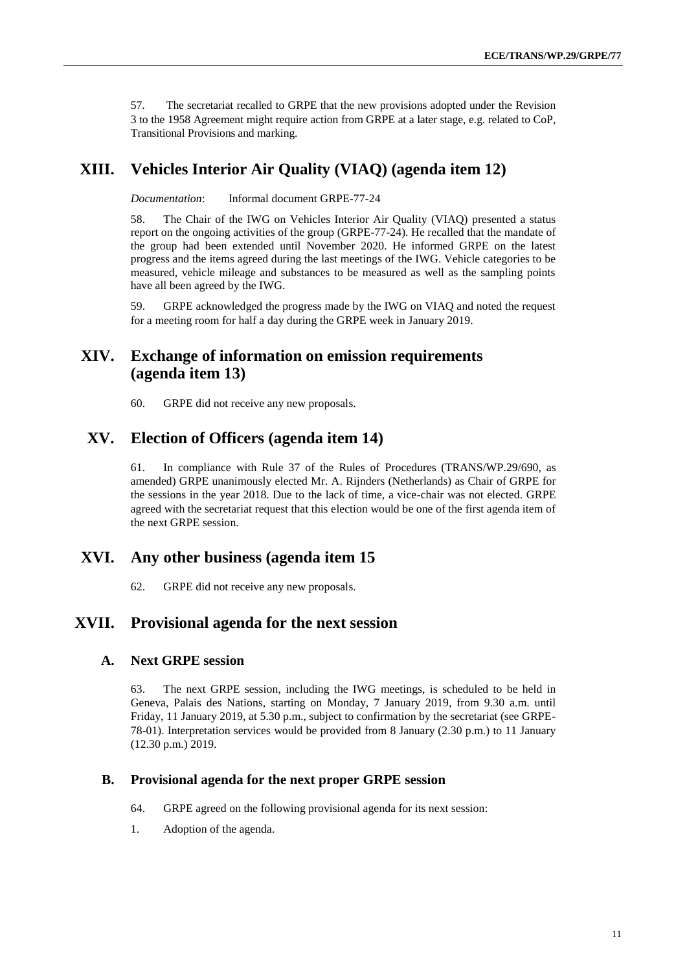57. The secretariat recalled to GRPE that the new provisions adopted under the Revision 3 to the 1958 Agreement might require action from GRPE at a later stage, e.g. related to CoP, Transitional Provisions and marking.

## **XIII. Vehicles Interior Air Quality (VIAQ) (agenda item 12)**

*Documentation*: Informal document GRPE-77-24

58. The Chair of the IWG on Vehicles Interior Air Quality (VIAQ) presented a status report on the ongoing activities of the group (GRPE-77-24). He recalled that the mandate of the group had been extended until November 2020. He informed GRPE on the latest progress and the items agreed during the last meetings of the IWG. Vehicle categories to be measured, vehicle mileage and substances to be measured as well as the sampling points have all been agreed by the IWG.

59. GRPE acknowledged the progress made by the IWG on VIAQ and noted the request for a meeting room for half a day during the GRPE week in January 2019.

### **XIV. Exchange of information on emission requirements (agenda item 13)**

60. GRPE did not receive any new proposals.

### **XV. Election of Officers (agenda item 14)**

61. In compliance with Rule 37 of the Rules of Procedures (TRANS/WP.29/690, as amended) GRPE unanimously elected Mr. A. Rijnders (Netherlands) as Chair of GRPE for the sessions in the year 2018. Due to the lack of time, a vice-chair was not elected. GRPE agreed with the secretariat request that this election would be one of the first agenda item of the next GRPE session.

#### **XVI. Any other business (agenda item 15**

62. GRPE did not receive any new proposals.

### **XVII. Provisional agenda for the next session**

#### **A. Next GRPE session**

63. The next GRPE session, including the IWG meetings, is scheduled to be held in Geneva, Palais des Nations, starting on Monday, 7 January 2019, from 9.30 a.m. until Friday, 11 January 2019, at 5.30 p.m., subject to confirmation by the secretariat (see GRPE-78-01). Interpretation services would be provided from 8 January (2.30 p.m.) to 11 January (12.30 p.m.) 2019.

#### **B. Provisional agenda for the next proper GRPE session**

- 64. GRPE agreed on the following provisional agenda for its next session:
- 1. Adoption of the agenda.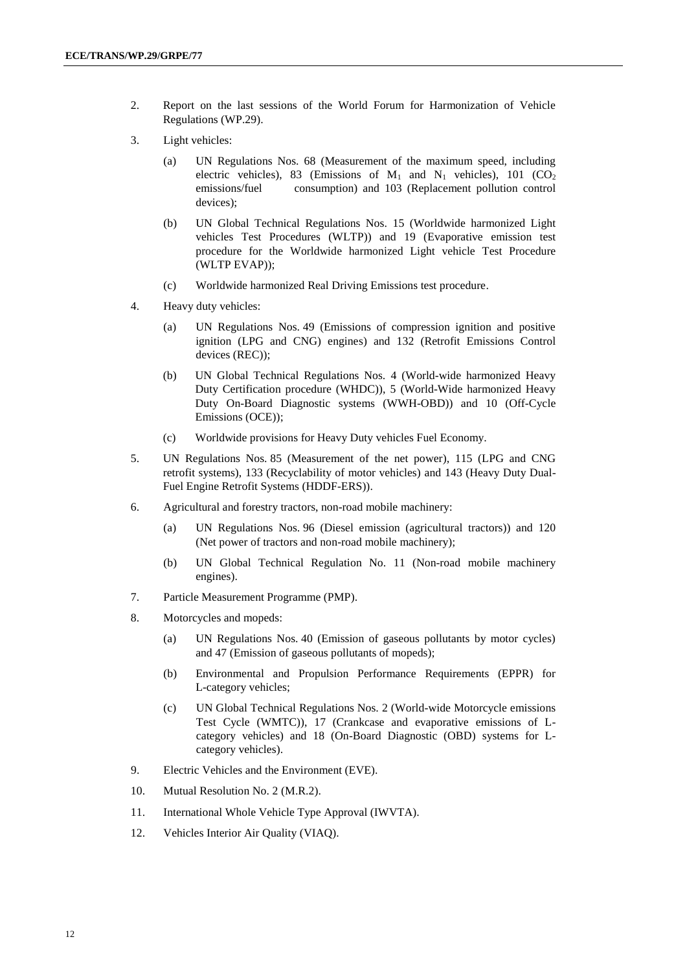- 2. Report on the last sessions of the World Forum for Harmonization of Vehicle Regulations (WP.29).
- 3. Light vehicles:
	- (a) UN Regulations Nos. 68 (Measurement of the maximum speed, including electric vehicles), 83 (Emissions of  $M_1$  and  $N_1$  vehicles), 101 (CO<sub>2</sub>) emissions/fuel consumption) and 103 (Replacement pollution control devices);
	- (b) UN Global Technical Regulations Nos. 15 (Worldwide harmonized Light vehicles Test Procedures (WLTP)) and 19 (Evaporative emission test procedure for the Worldwide harmonized Light vehicle Test Procedure (WLTP EVAP));
	- (c) Worldwide harmonized Real Driving Emissions test procedure.
- 4. Heavy duty vehicles:
	- (a) UN Regulations Nos. 49 (Emissions of compression ignition and positive ignition (LPG and CNG) engines) and 132 (Retrofit Emissions Control devices (REC));
	- (b) UN Global Technical Regulations Nos. 4 (World-wide harmonized Heavy Duty Certification procedure (WHDC)), 5 (World-Wide harmonized Heavy Duty On-Board Diagnostic systems (WWH-OBD)) and 10 (Off-Cycle Emissions (OCE));
	- (c) Worldwide provisions for Heavy Duty vehicles Fuel Economy.
- 5. UN Regulations Nos. 85 (Measurement of the net power), 115 (LPG and CNG retrofit systems), 133 (Recyclability of motor vehicles) and 143 (Heavy Duty Dual-Fuel Engine Retrofit Systems (HDDF-ERS)).
- 6. Agricultural and forestry tractors, non-road mobile machinery:
	- (a) UN Regulations Nos. 96 (Diesel emission (agricultural tractors)) and 120 (Net power of tractors and non-road mobile machinery);
	- (b) UN Global Technical Regulation No. 11 (Non-road mobile machinery engines).
- 7. Particle Measurement Programme (PMP).
- 8. Motorcycles and mopeds:
	- (a) UN Regulations Nos. 40 (Emission of gaseous pollutants by motor cycles) and 47 (Emission of gaseous pollutants of mopeds);
	- (b) Environmental and Propulsion Performance Requirements (EPPR) for L-category vehicles;
	- (c) UN Global Technical Regulations Nos. 2 (World-wide Motorcycle emissions Test Cycle (WMTC)), 17 (Crankcase and evaporative emissions of Lcategory vehicles) and 18 (On-Board Diagnostic (OBD) systems for Lcategory vehicles).
- 9. Electric Vehicles and the Environment (EVE).
- 10. Mutual Resolution No. 2 (M.R.2).
- 11. International Whole Vehicle Type Approval (IWVTA).
- 12. Vehicles Interior Air Quality (VIAQ).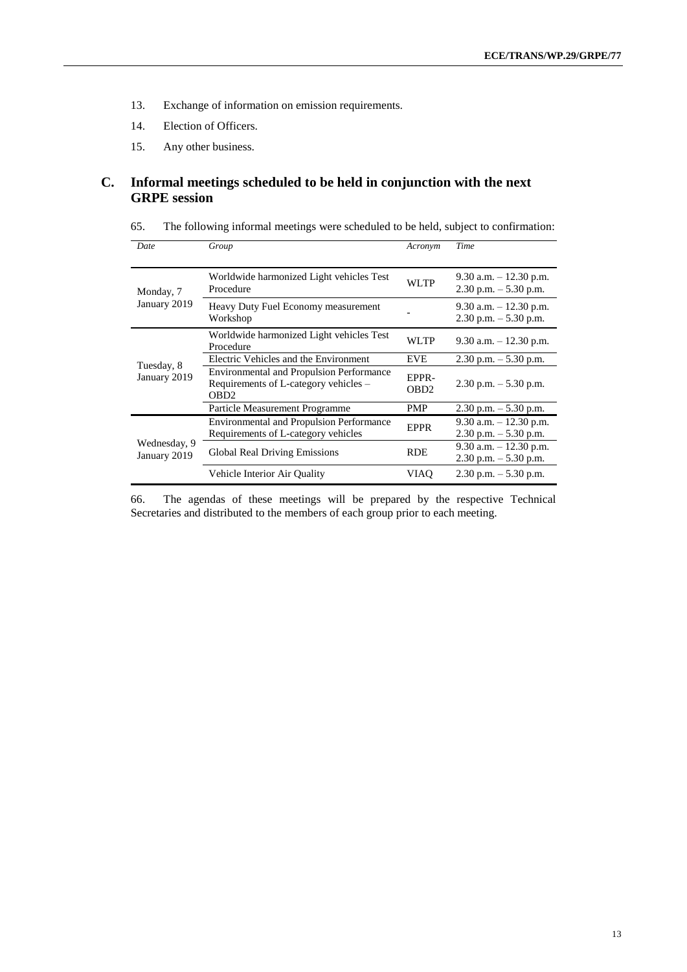- 13. Exchange of information on emission requirements.
- 14. Election of Officers.
- 15. Any other business.

#### **C. Informal meetings scheduled to be held in conjunction with the next GRPE session**

| 65. | The following informal meetings were scheduled to be held, subject to confirmation: |  |  |  |
|-----|-------------------------------------------------------------------------------------|--|--|--|
|-----|-------------------------------------------------------------------------------------|--|--|--|

| Date                         | Group                                                                                                        | Acronym                    | Time                                                |
|------------------------------|--------------------------------------------------------------------------------------------------------------|----------------------------|-----------------------------------------------------|
| Monday, 7                    | Worldwide harmonized Light vehicles Test<br>Procedure                                                        | WLTP                       | 9.30 a.m. $-12.30$ p.m.<br>$2.30$ p.m. $-5.30$ p.m. |
| January 2019                 | Heavy Duty Fuel Economy measurement<br>Workshop                                                              |                            | 9.30 a.m. $-12.30$ p.m.<br>$2.30$ p.m. $-5.30$ p.m. |
|                              | Worldwide harmonized Light vehicles Test<br>Procedure                                                        | WLTP                       | 9.30 a.m. $-12.30$ p.m.                             |
|                              | Electric Vehicles and the Environment                                                                        | <b>EVE</b>                 | 2.30 p.m. $-$ 5.30 p.m.                             |
| Tuesday, 8<br>January 2019   | <b>Environmental and Propulsion Performance</b><br>Requirements of L-category vehicles –<br>OBD <sub>2</sub> | EPPR-<br>OB <sub>D</sub> 2 | 2.30 p.m. $-$ 5.30 p.m.                             |
|                              | Particle Measurement Programme                                                                               | PMP                        | $2.30$ p.m. $-5.30$ p.m.                            |
|                              | <b>Environmental and Propulsion Performance</b><br>Requirements of L-category vehicles                       | <b>EPPR</b>                | 9.30 a.m. $-12.30$ p.m.<br>$2.30$ p.m. $-5.30$ p.m. |
| Wednesday, 9<br>January 2019 | Global Real Driving Emissions                                                                                | <b>RDE</b>                 | 9.30 a.m. $-12.30$ p.m.<br>$2.30$ p.m. $-5.30$ p.m. |
|                              | Vehicle Interior Air Quality                                                                                 | VIAO                       | $2.30$ p.m. $-5.30$ p.m.                            |

66. The agendas of these meetings will be prepared by the respective Technical Secretaries and distributed to the members of each group prior to each meeting.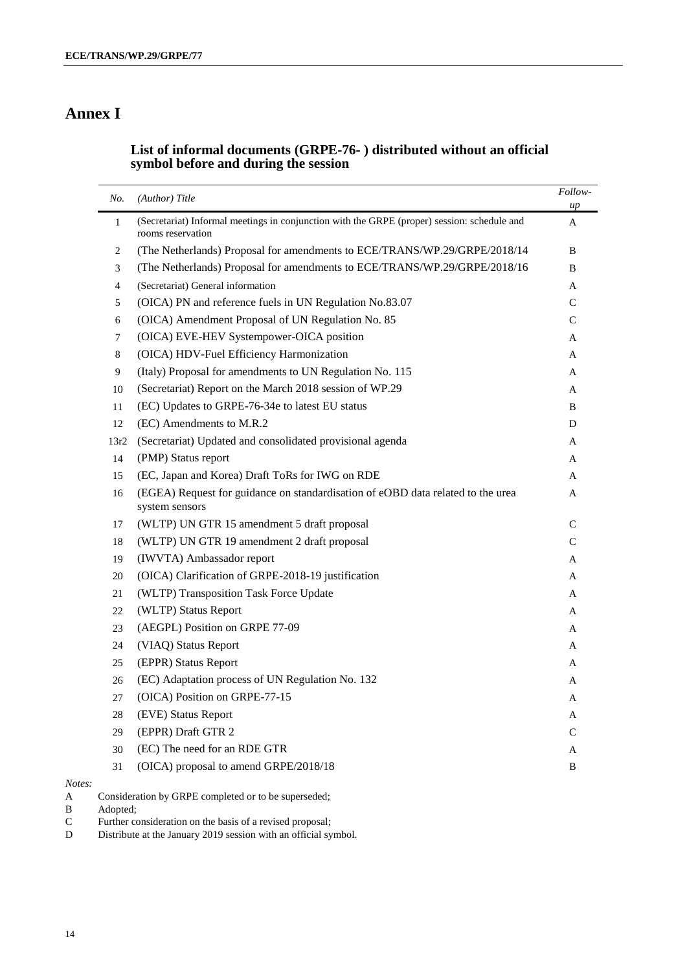## **Annex I**

#### **List of informal documents (GRPE-76- ) distributed without an official symbol before and during the session**

| No.          | (Author) Title                                                                                                   | Follow-<br>up |
|--------------|------------------------------------------------------------------------------------------------------------------|---------------|
| $\mathbf{1}$ | (Secretariat) Informal meetings in conjunction with the GRPE (proper) session: schedule and<br>rooms reservation | A             |
| 2            | (The Netherlands) Proposal for amendments to ECE/TRANS/WP.29/GRPE/2018/14                                        | B             |
| 3            | (The Netherlands) Proposal for amendments to ECE/TRANS/WP.29/GRPE/2018/16                                        | B             |
| 4            | (Secretariat) General information                                                                                | A             |
| 5            | (OICA) PN and reference fuels in UN Regulation No.83.07                                                          | $\mathsf{C}$  |
| 6            | (OICA) Amendment Proposal of UN Regulation No. 85                                                                | C             |
| 7            | (OICA) EVE-HEV Systempower-OICA position                                                                         | A             |
| 8            | (OICA) HDV-Fuel Efficiency Harmonization                                                                         | A             |
| 9            | (Italy) Proposal for amendments to UN Regulation No. 115                                                         | A             |
| 10           | (Secretariat) Report on the March 2018 session of WP.29                                                          | A             |
| 11           | (EC) Updates to GRPE-76-34e to latest EU status                                                                  | B             |
| 12           | (EC) Amendments to M.R.2                                                                                         | D             |
| 13r2         | (Secretariat) Updated and consolidated provisional agenda                                                        | A             |
| 14           | (PMP) Status report                                                                                              | A             |
| 15           | (EC, Japan and Korea) Draft ToRs for IWG on RDE                                                                  | A             |
| 16           | (EGEA) Request for guidance on standardisation of eOBD data related to the urea<br>system sensors                | A             |
| 17           | (WLTP) UN GTR 15 amendment 5 draft proposal                                                                      | $\mathsf{C}$  |
| 18           | (WLTP) UN GTR 19 amendment 2 draft proposal                                                                      | C             |
| 19           | (IWVTA) Ambassador report                                                                                        | A             |
| 20           | (OICA) Clarification of GRPE-2018-19 justification                                                               | A             |
| 21           | (WLTP) Transposition Task Force Update                                                                           | A             |
| 22           | (WLTP) Status Report                                                                                             | A             |
| 23           | (AEGPL) Position on GRPE 77-09                                                                                   | A             |
| 24           | (VIAQ) Status Report                                                                                             | A             |
| 25           | (EPPR) Status Report                                                                                             | A             |
| 26           | (EC) Adaptation process of UN Regulation No. 132                                                                 | A             |
| 27           | (OICA) Position on GRPE-77-15                                                                                    | A             |
| 28           | (EVE) Status Report                                                                                              | A             |
| 29           | (EPPR) Draft GTR 2                                                                                               | $\mathsf{C}$  |
| 30           | (EC) The need for an RDE GTR                                                                                     | A             |
| 31           | (OICA) proposal to amend GRPE/2018/18                                                                            | B             |

*Notes:*

A Consideration by GRPE completed or to be superseded;

B Adopted;

C Further consideration on the basis of a revised proposal;<br>D Distribute at the January 2019 session with an official sy

Distribute at the January 2019 session with an official symbol.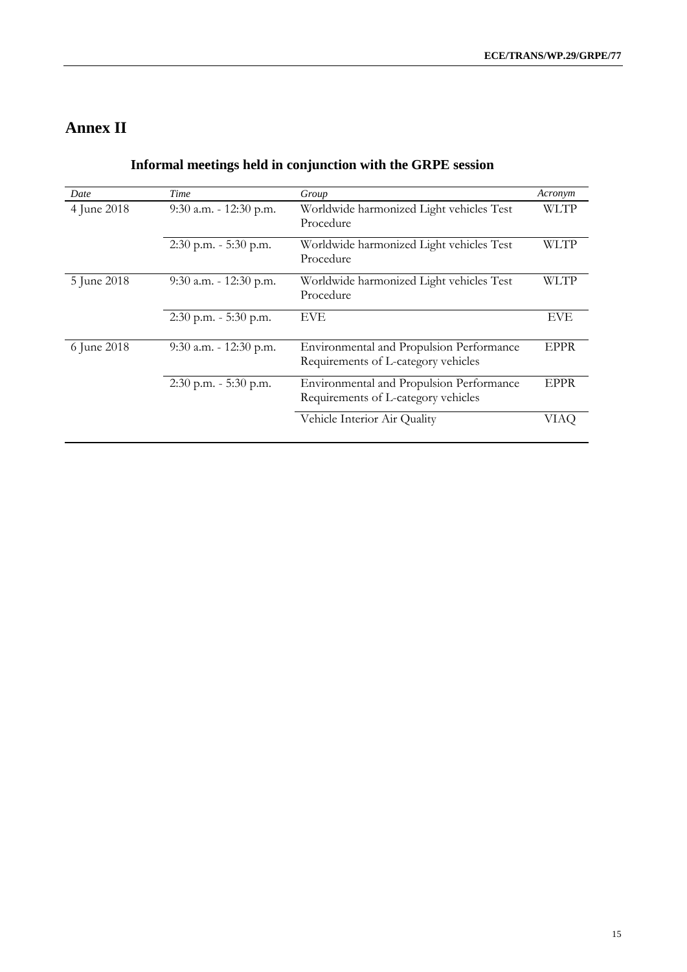## **Annex II**

| Date        | Time                                                                            | Group                                                                           | Acronym     |
|-------------|---------------------------------------------------------------------------------|---------------------------------------------------------------------------------|-------------|
| 4 June 2018 | Worldwide harmonized Light vehicles Test<br>9:30 a.m. - 12:30 p.m.<br>Procedure |                                                                                 | <b>WLTP</b> |
|             | $2:30$ p.m. $-5:30$ p.m.                                                        | Worldwide harmonized Light vehicles Test<br>Procedure                           | WLTP        |
| 5 June 2018 | $9:30$ a.m. - 12:30 p.m.                                                        | Worldwide harmonized Light vehicles Test<br>Procedure                           | WLTP        |
|             | 2:30 p.m. - 5:30 p.m.                                                           | <b>EVE</b>                                                                      | <b>EVE</b>  |
| 6 June 2018 | $9:30$ a.m. - 12:30 p.m.                                                        | Environmental and Propulsion Performance<br>Requirements of L-category vehicles | EPPR        |
|             | $2:30$ p.m. - 5:30 p.m.                                                         | Environmental and Propulsion Performance<br>Requirements of L-category vehicles | <b>EPPR</b> |
|             |                                                                                 | Vehicle Interior Air Quality                                                    | VIAO        |

## **Informal meetings held in conjunction with the GRPE session**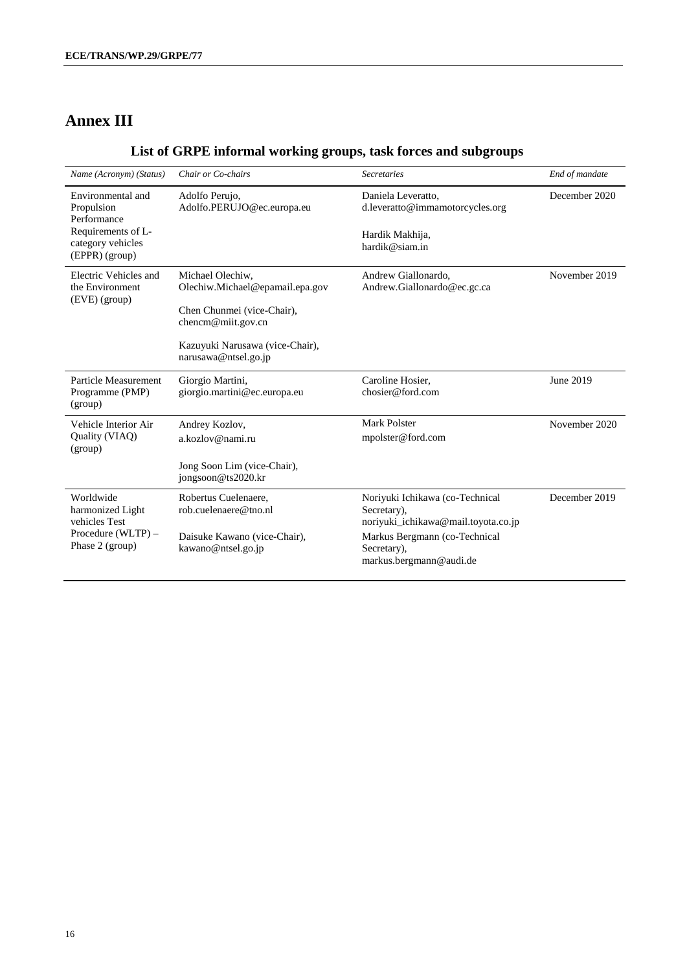## **Annex III**

## **List of GRPE informal working groups, task forces and subgroups**

| Name (Acronym) (Status)                                                                                     | Chair or Co-chairs                                                                                                                                                 | <b>Secretaries</b>                                                                                                                                               | End of mandate |
|-------------------------------------------------------------------------------------------------------------|--------------------------------------------------------------------------------------------------------------------------------------------------------------------|------------------------------------------------------------------------------------------------------------------------------------------------------------------|----------------|
| Environmental and<br>Propulsion<br>Performance<br>Requirements of L-<br>category vehicles<br>(EPPR) (group) | Adolfo Perujo,<br>Adolfo.PERUJO@ec.europa.eu                                                                                                                       | Daniela Leveratto,<br>d.leveratto@immamotorcycles.org<br>Hardik Makhija,<br>hardik@siam.in                                                                       | December 2020  |
| Electric Vehicles and<br>the Environment<br>(EVE) (group)                                                   | Michael Olechiw,<br>Olechiw.Michael@epamail.epa.gov<br>Chen Chunmei (vice-Chair),<br>chencm@miit.gov.cn<br>Kazuyuki Narusawa (vice-Chair),<br>narusawa@ntsel.go.jp | Andrew Giallonardo,<br>Andrew.Giallonardo@ec.gc.ca                                                                                                               | November 2019  |
| Particle Measurement<br>Programme (PMP)<br>(group)                                                          | Giorgio Martini,<br>giorgio.martini@ec.europa.eu                                                                                                                   | Caroline Hosier,<br>chosier@ford.com                                                                                                                             | June 2019      |
| Vehicle Interior Air<br>Quality (VIAQ)<br>(group)                                                           | Andrey Kozlov,<br>a kozlov@nami.ru<br>Jong Soon Lim (vice-Chair),<br>jongsoon@ts2020.kr                                                                            | Mark Polster<br>mpolster@ford.com                                                                                                                                | November 2020  |
| Worldwide<br>harmonized Light<br>vehicles Test<br>Procedure (WLTP) -<br>Phase 2 (group)                     | Robertus Cuelenaere,<br>rob.cuelenaere@tno.nl<br>Daisuke Kawano (vice-Chair),<br>kawano@ntsel.go.jp                                                                | Noriyuki Ichikawa (co-Technical<br>Secretary),<br>noriyuki_ichikawa@mail.toyota.co.jp<br>Markus Bergmann (co-Technical<br>Secretary),<br>markus.bergmann@audi.de | December 2019  |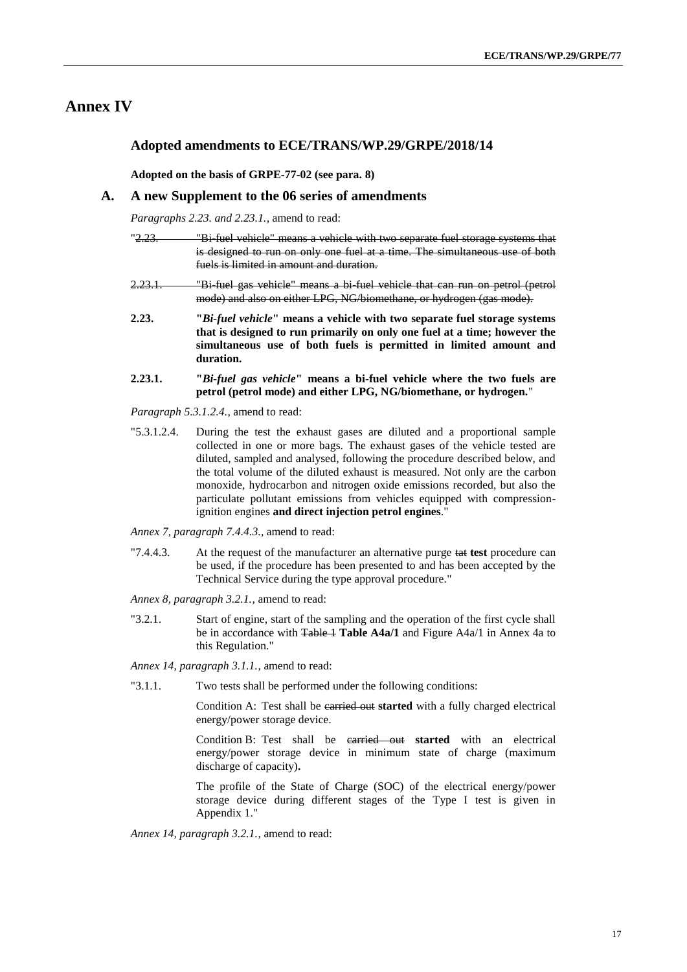#### **Annex IV**

#### **Adopted amendments to ECE/TRANS/WP.29/GRPE/2018/14**

**Adopted on the basis of GRPE-77-02 (see para. 8)**

#### **A. A new Supplement to the 06 series of amendments**

*Paragraphs 2.23. and 2.23.1.,* amend to read:

| <u>"2.23.</u> | "Bi fuel vehicle" means a vehicle with two separate fuel storage systems that |
|---------------|-------------------------------------------------------------------------------|
|               |                                                                               |
|               | is designed to run on only one fuel at a time. The simultaneous use of both   |
|               |                                                                               |
|               | fuels is limited in amount and duration.                                      |

- 2.23.1. "Bi-fuel gas vehicle" means a bi-fuel vehicle that can run on petrol (petrol mode) and also on either LPG, NG/biomethane, or hydrogen (gas mode).
- **2.23. "***Bi-fuel vehicle***" means a vehicle with two separate fuel storage systems that is designed to run primarily on only one fuel at a time; however the simultaneous use of both fuels is permitted in limited amount and duration.**
- **2.23.1. "***Bi-fuel gas vehicle***" means a bi-fuel vehicle where the two fuels are petrol (petrol mode) and either LPG, NG/biomethane, or hydrogen.**"

*Paragraph 5.3.1.2.4.,* amend to read:

"5.3.1.2.4. During the test the exhaust gases are diluted and a proportional sample collected in one or more bags. The exhaust gases of the vehicle tested are diluted, sampled and analysed, following the procedure described below, and the total volume of the diluted exhaust is measured. Not only are the carbon monoxide, hydrocarbon and nitrogen oxide emissions recorded, but also the particulate pollutant emissions from vehicles equipped with compressionignition engines **and direct injection petrol engines**."

*Annex 7, paragraph 7.4.4.3.,* amend to read:

"7.4.4.3. At the request of the manufacturer an alternative purge tat **test** procedure can be used, if the procedure has been presented to and has been accepted by the Technical Service during the type approval procedure."

*Annex 8, paragraph 3.2.1.,* amend to read:

"3.2.1. Start of engine, start of the sampling and the operation of the first cycle shall be in accordance with Table 1 Table A4a/1 and Figure A4a/1 in Annex 4a to this Regulation."

*Annex 14, paragraph 3.1.1.*, amend to read:

"3.1.1. Two tests shall be performed under the following conditions:

Condition A: Test shall be earried out started with a fully charged electrical energy/power storage device.

Condition B: Test shall be carried out **started** with an electrical energy/power storage device in minimum state of charge (maximum discharge of capacity)**.**

The profile of the State of Charge (SOC) of the electrical energy/power storage device during different stages of the Type I test is given in Appendix 1."

*Annex 14, paragraph 3.2.1.*, amend to read: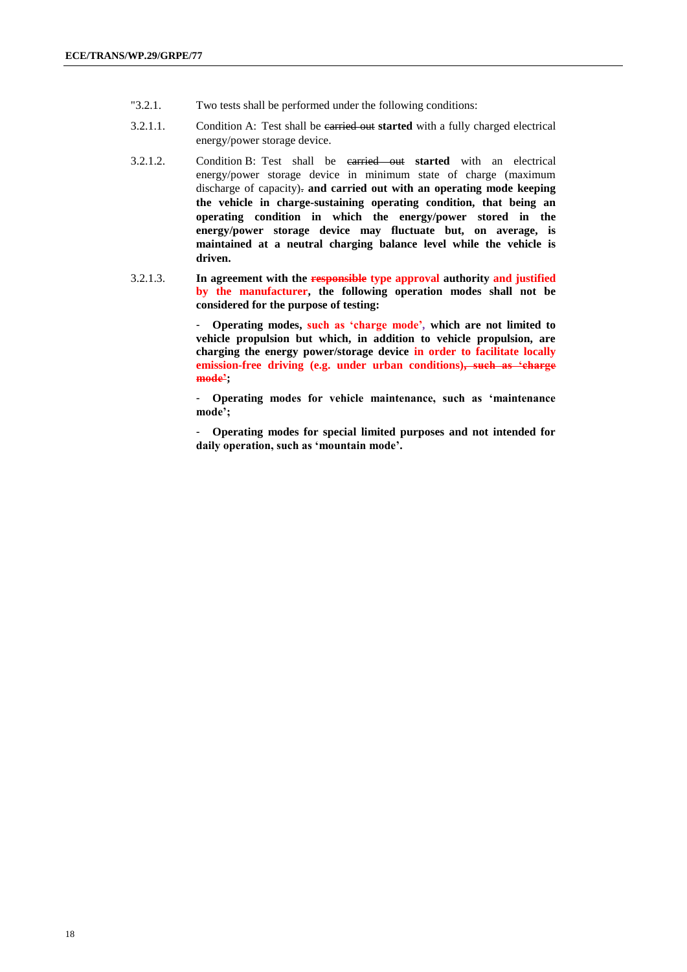- "3.2.1. Two tests shall be performed under the following conditions:
- 3.2.1.1. Condition A: Test shall be carried out **started** with a fully charged electrical energy/power storage device.
- 3.2.1.2. Condition B: Test shall be carried out **started** with an electrical energy/power storage device in minimum state of charge (maximum discharge of capacity). **and carried out with an operating mode keeping the vehicle in charge-sustaining operating condition, that being an operating condition in which the energy/power stored in the energy/power storage device may fluctuate but, on average, is maintained at a neutral charging balance level while the vehicle is driven.**
- 3.2.1.3. **In agreement with the responsible type approval authority and justified by the manufacturer, the following operation modes shall not be considered for the purpose of testing:**

- **Operating modes, such as 'charge mode'***,* **which are not limited to vehicle propulsion but which, in addition to vehicle propulsion, are charging the energy power/storage device in order to facilitate locally emission-free driving (e.g. under urban conditions), such as 'charge mode';** 

- **Operating modes for vehicle maintenance, such as 'maintenance mode';** 

- **Operating modes for special limited purposes and not intended for daily operation, such as 'mountain mode'.**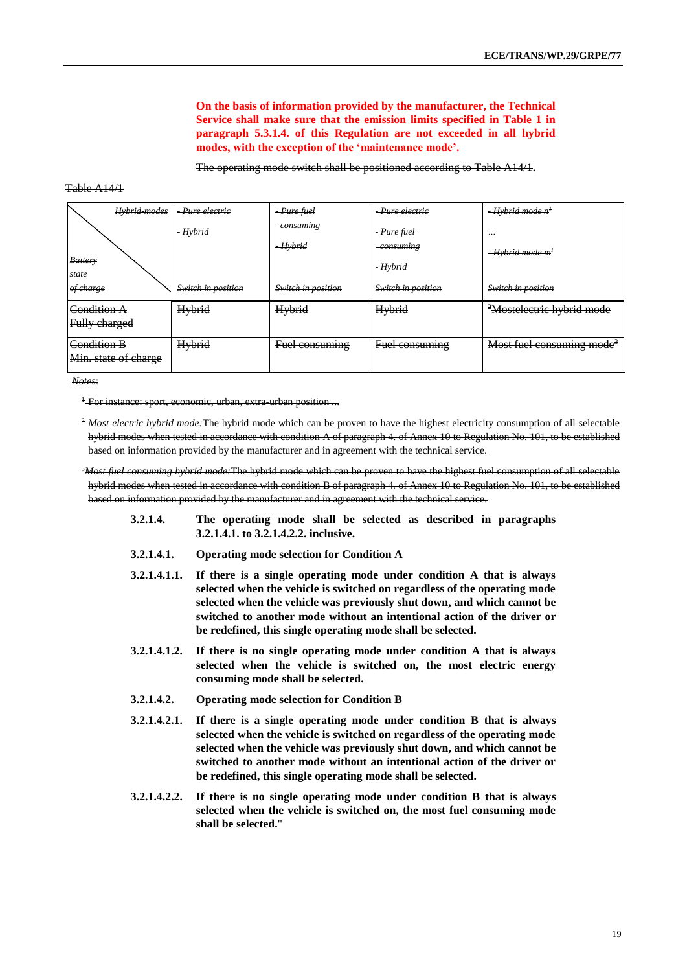**On the basis of information provided by the manufacturer, the Technical Service shall make sure that the emission limits specified in Table 1 in paragraph 5.3.1.4. of this Regulation are not exceeded in all hybrid modes, with the exception of the 'maintenance mode'.**

The operating mode switch shall be positioned according to Table A14/1**.**

#### Table A14/1

| Hybrid-modes                        | -Pure electric     | -Pure fuel                      | -Pure electric            | <del>- Hybrid mode n<sup>1</sup></del> |
|-------------------------------------|--------------------|---------------------------------|---------------------------|----------------------------------------|
|                                     | $-Hvbrid$          | <del>consuming</del><br>-Hybrid | $-Pure$ fuel<br>consuming | $\overline{a}$                         |
| <b>Battery</b><br>state             |                    |                                 | $-Hvbrid$                 | <del>- Hybrid mode m<sup>1</sup></del> |
| of charge                           | Switch in position | Switch in position              | Switch in position        | Switch in position                     |
| Condition A<br>Fully charged        | Hybrid             | <b>Hybrid</b>                   | Hybrid                    | <sup>2</sup> Mostelectric hybrid mode  |
| Condition B<br>Min. state of charge | <b>Hybrid</b>      | Fuel consuming                  | Fuel consuming            | Most fuel consuming mode <sup>3</sup>  |

*Notes*:

<sup>1</sup> For instance: sport, economic, urban, extra-urban position ...

<sup>2</sup> Most electric hybrid mode: The hybrid mode which can be proven to have the highest electricity consumption of all selectable hybrid modes when tested in accordance with condition A of paragraph 4. of Annex 10 to Regulation No. 101, to be established based on information provided by the manufacturer and in agreement with the technical service.

<sup>3</sup>*Most fuel consuming hybrid mode:*The hybrid mode which can be proven to have the highest fuel consumption of all selectable hybrid modes when tested in accordance with condition B of paragraph 4. of Annex 10 to Regulation No. 101, to be established based on information provided by the manufacturer and in agreement with the technical service.

- **3.2.1.4. The operating mode shall be selected as described in paragraphs 3.2.1.4.1. to 3.2.1.4.2.2. inclusive.**
- **3.2.1.4.1. Operating mode selection for Condition A**
- **3.2.1.4.1.1. If there is a single operating mode under condition A that is always selected when the vehicle is switched on regardless of the operating mode selected when the vehicle was previously shut down, and which cannot be switched to another mode without an intentional action of the driver or be redefined, this single operating mode shall be selected.**
- **3.2.1.4.1.2. If there is no single operating mode under condition A that is always selected when the vehicle is switched on, the most electric energy consuming mode shall be selected.**
- **3.2.1.4.2. Operating mode selection for Condition B**
- **3.2.1.4.2.1. If there is a single operating mode under condition B that is always selected when the vehicle is switched on regardless of the operating mode selected when the vehicle was previously shut down, and which cannot be switched to another mode without an intentional action of the driver or be redefined, this single operating mode shall be selected.**
- **3.2.1.4.2.2. If there is no single operating mode under condition B that is always selected when the vehicle is switched on, the most fuel consuming mode shall be selected.**"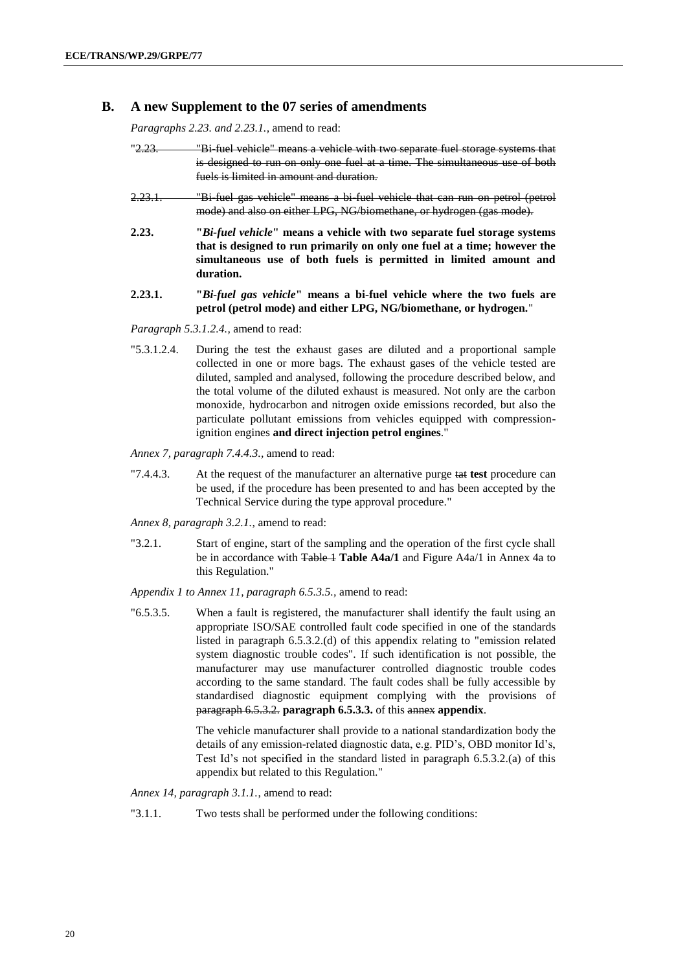#### **B. A new Supplement to the 07 series of amendments**

*Paragraphs 2.23. and 2.23.1.,* amend to read:

| <u>"2.23.</u> | "Bi fuel vehicle" means a vehicle with two separate fuel storage systems that |
|---------------|-------------------------------------------------------------------------------|
|               | is designed to run on only one fuel at a time. The simultaneous use of both   |
|               | fuels is limited in amount and duration.                                      |

- 2.23.1. "Bi-fuel gas vehicle" means a bi-fuel vehicle that can run on petrol (petrol mode) and also on either LPG, NG/biomethane, or hydrogen (gas mode).
- **2.23. "***Bi-fuel vehicle***" means a vehicle with two separate fuel storage systems that is designed to run primarily on only one fuel at a time; however the simultaneous use of both fuels is permitted in limited amount and duration.**
- **2.23.1. "***Bi-fuel gas vehicle***" means a bi-fuel vehicle where the two fuels are petrol (petrol mode) and either LPG, NG/biomethane, or hydrogen.**"

*Paragraph 5.3.1.2.4.,* amend to read:

"5.3.1.2.4. During the test the exhaust gases are diluted and a proportional sample collected in one or more bags. The exhaust gases of the vehicle tested are diluted, sampled and analysed, following the procedure described below, and the total volume of the diluted exhaust is measured. Not only are the carbon monoxide, hydrocarbon and nitrogen oxide emissions recorded, but also the particulate pollutant emissions from vehicles equipped with compressionignition engines **and direct injection petrol engines**."

*Annex 7, paragraph 7.4.4.3.,* amend to read:

"7.4.4.3. At the request of the manufacturer an alternative purge tat **test** procedure can be used, if the procedure has been presented to and has been accepted by the Technical Service during the type approval procedure."

*Annex 8, paragraph 3.2.1.,* amend to read:

"3.2.1. Start of engine, start of the sampling and the operation of the first cycle shall be in accordance with Table 1 Table A4a/1 and Figure A4a/1 in Annex 4a to this Regulation."

*Appendix 1 to Annex 11, paragraph 6.5.3.5.,* amend to read:

"6.5.3.5. When a fault is registered, the manufacturer shall identify the fault using an appropriate ISO/SAE controlled fault code specified in one of the standards listed in paragraph 6.5.3.2.(d) of this appendix relating to "emission related system diagnostic trouble codes". If such identification is not possible, the manufacturer may use manufacturer controlled diagnostic trouble codes according to the same standard. The fault codes shall be fully accessible by standardised diagnostic equipment complying with the provisions of paragraph 6.5.3.2. **paragraph 6.5.3.3.** of this annex **appendix**.

> The vehicle manufacturer shall provide to a national standardization body the details of any emission-related diagnostic data, e.g. PID's, OBD monitor Id's, Test Id's not specified in the standard listed in paragraph 6.5.3.2.(a) of this appendix but related to this Regulation."

*Annex 14, paragraph 3.1.1.*, amend to read:

"3.1.1. Two tests shall be performed under the following conditions: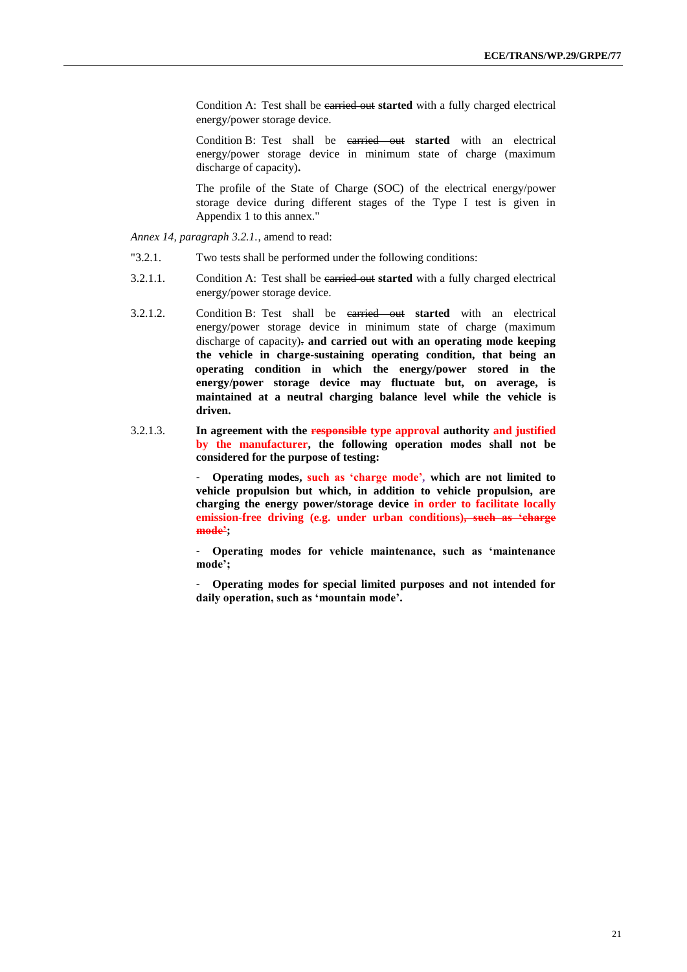Condition A: Test shall be carried out **started** with a fully charged electrical energy/power storage device.

Condition B: Test shall be carried out **started** with an electrical energy/power storage device in minimum state of charge (maximum discharge of capacity)**.**

The profile of the State of Charge (SOC) of the electrical energy/power storage device during different stages of the Type I test is given in Appendix 1 to this annex."

*Annex 14, paragraph 3.2.1.*, amend to read:

- "3.2.1. Two tests shall be performed under the following conditions:
- 3.2.1.1. Condition A: Test shall be carried out **started** with a fully charged electrical energy/power storage device.
- 3.2.1.2. Condition B: Test shall be carried out **started** with an electrical energy/power storage device in minimum state of charge (maximum discharge of capacity). **and carried out with an operating mode keeping the vehicle in charge-sustaining operating condition, that being an operating condition in which the energy/power stored in the energy/power storage device may fluctuate but, on average, is maintained at a neutral charging balance level while the vehicle is driven.**
- 3.2.1.3. **In agreement with the responsible type approval authority and justified by the manufacturer, the following operation modes shall not be considered for the purpose of testing:**

- **Operating modes, such as 'charge mode'***,* **which are not limited to vehicle propulsion but which, in addition to vehicle propulsion, are charging the energy power/storage device in order to facilitate locally emission-free driving (e.g. under urban conditions), such as 'charge mode';** 

- **Operating modes for vehicle maintenance, such as 'maintenance mode';** 

- **Operating modes for special limited purposes and not intended for daily operation, such as 'mountain mode'.**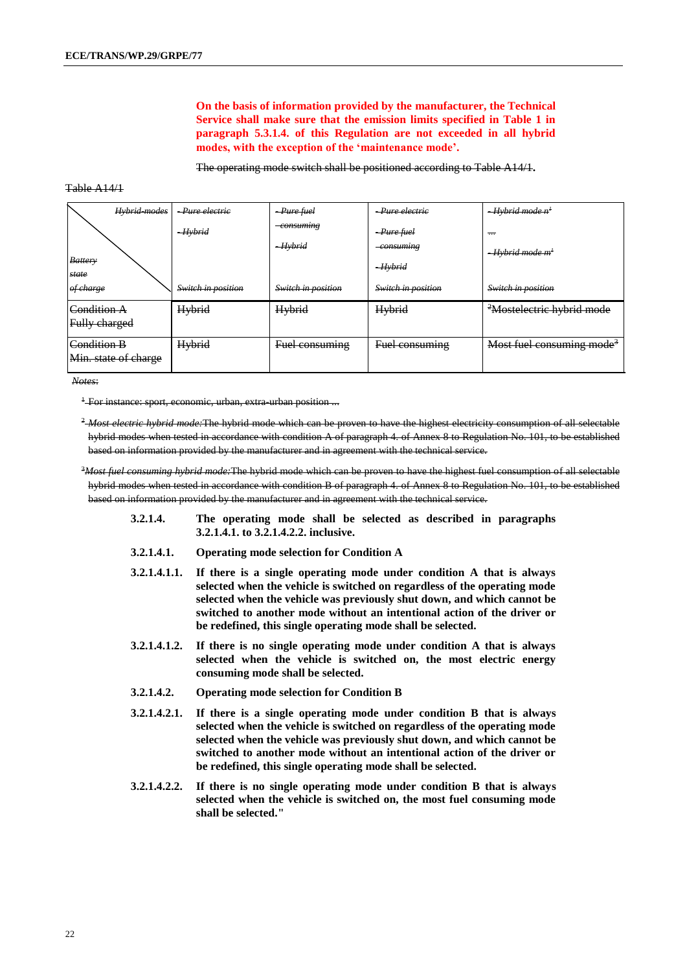**On the basis of information provided by the manufacturer, the Technical Service shall make sure that the emission limits specified in Table 1 in paragraph 5.3.1.4. of this Regulation are not exceeded in all hybrid modes, with the exception of the 'maintenance mode'.**

The operating mode switch shall be positioned according to Table A14/1**.**

#### Table A14/1

| Hybrid-modes            | -Pure electric     | $-Pure$ fuel         | -Pure electric                   | $-Hvbrid$ mode $n^1$                   |
|-------------------------|--------------------|----------------------|----------------------------------|----------------------------------------|
|                         | $-Hvbrid$          | consuming<br>-Hybrid | $-Pure$ fuel<br><i>consuming</i> | $\overline{\phantom{a}}$               |
| <b>Battery</b><br>state |                    |                      | $-Hvbrid$                        | <del>- Hybrid mode m<sup>1</sup></del> |
| of charge               | Switch in position | Switch in position   | Switch in position               | Switch in position                     |
| <del>Condition A</del>  | <b>Hybrid</b>      | Hybrid               | Hybrid                           | <sup>2</sup> Mostelectric hybrid mode  |
| Fully charged           |                    |                      |                                  |                                        |
| Condition B             | Hybrid             | Fuel consuming       | Fuel consuming                   | Most fuel consuming mode <sup>3</sup>  |
| Min. state of charge    |                    |                      |                                  |                                        |

*Notes*:

<sup>1</sup> For instance: sport, economic, urban, extra-urban position ...

<sup>2</sup>-Most electric hybrid mode: The hybrid mode which can be proven to have the highest electricity consumption of all selectable hybrid modes when tested in accordance with condition A of paragraph 4. of Annex 8 to Regulation No. 101, to be established based on information provided by the manufacturer and in agreement with the technical service.

<sup>3</sup>*Most fuel consuming hybrid mode:*The hybrid mode which can be proven to have the highest fuel consumption of all selectable hybrid modes when tested in accordance with condition B of paragraph 4. of Annex 8 to Regulation No. 101, to be established based on information provided by the manufacturer and in agreement with the technical service.

- **3.2.1.4. The operating mode shall be selected as described in paragraphs 3.2.1.4.1. to 3.2.1.4.2.2. inclusive.**
- **3.2.1.4.1. Operating mode selection for Condition A**
- **3.2.1.4.1.1. If there is a single operating mode under condition A that is always selected when the vehicle is switched on regardless of the operating mode selected when the vehicle was previously shut down, and which cannot be switched to another mode without an intentional action of the driver or be redefined, this single operating mode shall be selected.**
- **3.2.1.4.1.2. If there is no single operating mode under condition A that is always selected when the vehicle is switched on, the most electric energy consuming mode shall be selected.**
- **3.2.1.4.2. Operating mode selection for Condition B**
- **3.2.1.4.2.1. If there is a single operating mode under condition B that is always selected when the vehicle is switched on regardless of the operating mode selected when the vehicle was previously shut down, and which cannot be switched to another mode without an intentional action of the driver or be redefined, this single operating mode shall be selected.**
- **3.2.1.4.2.2. If there is no single operating mode under condition B that is always selected when the vehicle is switched on, the most fuel consuming mode shall be selected."**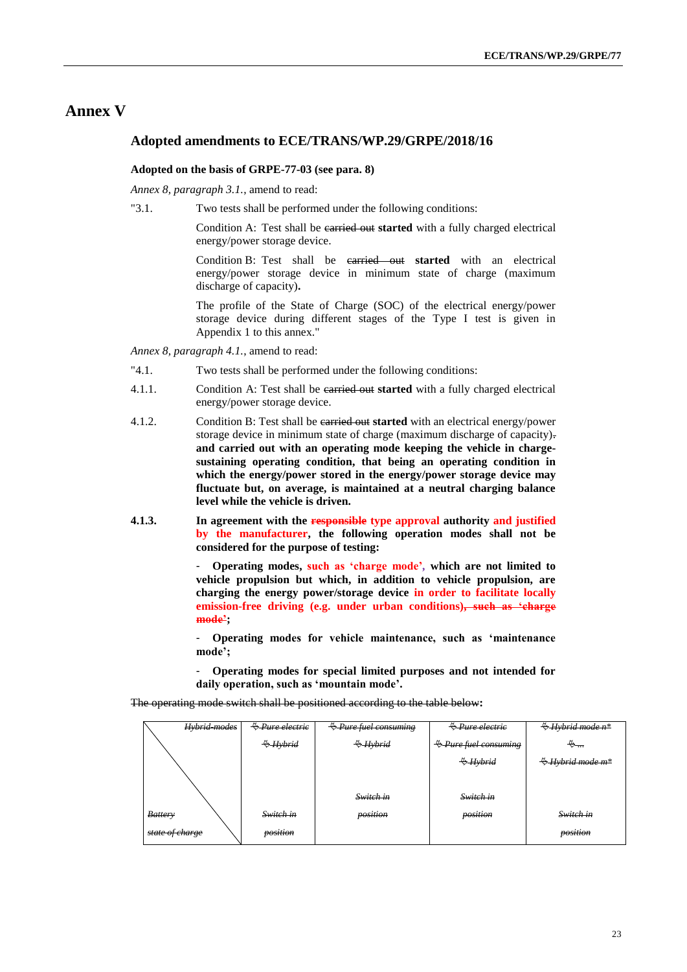## **Annex V**

#### **Adopted amendments to ECE/TRANS/WP.29/GRPE/2018/16**

#### **Adopted on the basis of GRPE-77-03 (see para. 8)**

*Annex 8, paragraph 3.1.*, amend to read:

"3.1. Two tests shall be performed under the following conditions:

Condition A: Test shall be carried out **started** with a fully charged electrical energy/power storage device.

Condition B: Test shall be carried out **started** with an electrical energy/power storage device in minimum state of charge (maximum discharge of capacity)**.**

The profile of the State of Charge (SOC) of the electrical energy/power storage device during different stages of the Type I test is given in Appendix 1 to this annex."

*Annex 8, paragraph 4.1.*, amend to read:

- "4.1. Two tests shall be performed under the following conditions:
- 4.1.1. Condition A: Test shall be carried out **started** with a fully charged electrical energy/power storage device.
- 4.1.2. Condition B: Test shall be carried out **started** with an electrical energy/power storage device in minimum state of charge (maximum discharge of capacity). **and carried out with an operating mode keeping the vehicle in chargesustaining operating condition, that being an operating condition in which the energy/power stored in the energy/power storage device may fluctuate but, on average, is maintained at a neutral charging balance level while the vehicle is driven.**
- **4.1.3. In agreement with the responsible type approval authority and justified by the manufacturer, the following operation modes shall not be considered for the purpose of testing:**

- **Operating modes, such as 'charge mode'***,* **which are not limited to vehicle propulsion but which, in addition to vehicle propulsion, are charging the energy power/storage device in order to facilitate locally emission-free driving (e.g. under urban conditions), such as 'charge mode';** 

- **Operating modes for vehicle maintenance, such as 'maintenance mode';** 

- **Operating modes for special limited purposes and not intended for daily operation, such as 'mountain mode'.** 

The operating mode switch shall be positioned according to the table below**:** 

| Hybrid-modes    | <del>∜ Pure electric</del> | $\bigcirc$ Pure fuel consuming | <del><i>♦ Pure electric</i></del> | $\bigoplus$ Hybrid mode n <sup>*</sup> |
|-----------------|----------------------------|--------------------------------|-----------------------------------|----------------------------------------|
|                 | $\leftrightarrow$ Hybrid   | $\leftrightarrow$ Hybrid       | $\bigcirc$ Pure fuel consuming    | ⊕                                      |
|                 |                            |                                | $\&$ Hybrid                       | <del>₿Hybrid mode m*</del>             |
|                 |                            |                                |                                   |                                        |
|                 |                            | Switch in                      | Switch in                         |                                        |
| <b>Battery</b>  | Switch in                  | position                       | position                          | Switch in                              |
| state of charge | position                   |                                |                                   | position                               |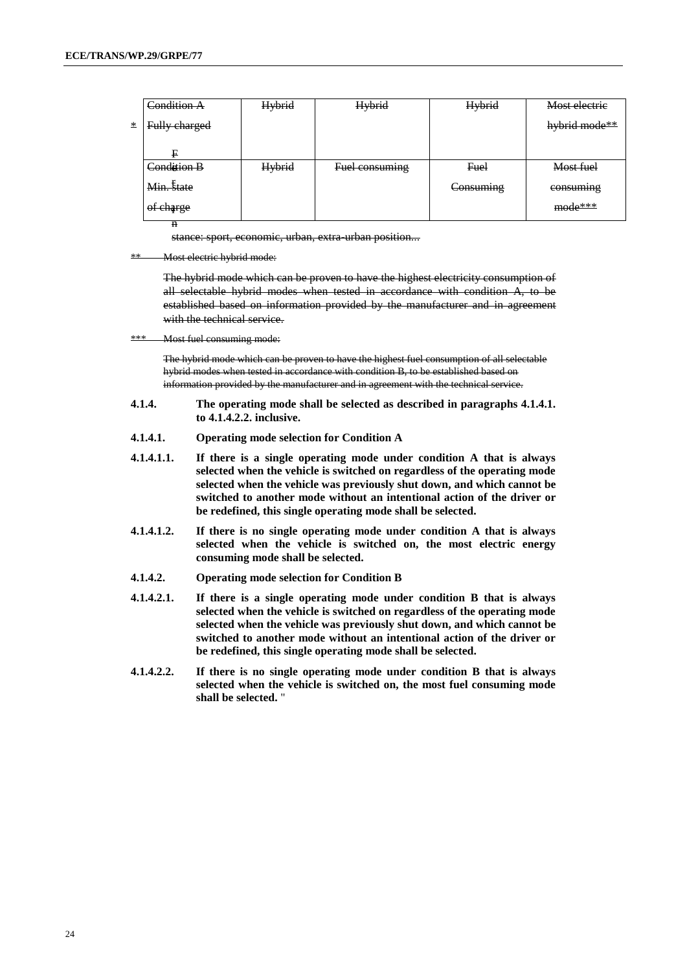|        | Condition A   | <b>Hybrid</b> | Hybrid         | Hybrid    | Most electric |
|--------|---------------|---------------|----------------|-----------|---------------|
| $\ast$ | Fully charged |               |                |           | hybrid mode** |
|        |               |               |                |           |               |
|        | F             |               |                |           |               |
|        | Condition B   | <b>Hybrid</b> | Fuel consuming | Fuel      | Most fuel     |
|        | Min. state    |               |                | Consuming | consuming     |
|        | of charge     |               |                |           | mode***       |
|        | $\mathbf n$   |               |                |           |               |

stance: sport, economic, urban, extra-urban position...

\*\* Most electric hybrid mode:

The hybrid mode which can be proven to have the highest electricity consumption of all selectable hybrid modes when tested in accordance with condition A, to be established based on information provided by the manufacturer and in agreement with the technical service.

\*\*\* Most fuel consuming mode:

The hybrid mode which can be proven to have the highest fuel consumption of all selectable hybrid modes when tested in accordance with condition B, to be established based on information provided by the manufacturer and in agreement with the technical service.

- **4.1.4. The operating mode shall be selected as described in paragraphs 4.1.4.1. to 4.1.4.2.2. inclusive.**
- **4.1.4.1. Operating mode selection for Condition A**
- **4.1.4.1.1. If there is a single operating mode under condition A that is always selected when the vehicle is switched on regardless of the operating mode selected when the vehicle was previously shut down, and which cannot be switched to another mode without an intentional action of the driver or be redefined, this single operating mode shall be selected.**
- **4.1.4.1.2. If there is no single operating mode under condition A that is always selected when the vehicle is switched on, the most electric energy consuming mode shall be selected.**
- **4.1.4.2. Operating mode selection for Condition B**
- **4.1.4.2.1. If there is a single operating mode under condition B that is always selected when the vehicle is switched on regardless of the operating mode selected when the vehicle was previously shut down, and which cannot be switched to another mode without an intentional action of the driver or be redefined, this single operating mode shall be selected.**
- **4.1.4.2.2. If there is no single operating mode under condition B that is always selected when the vehicle is switched on, the most fuel consuming mode shall be selected.** "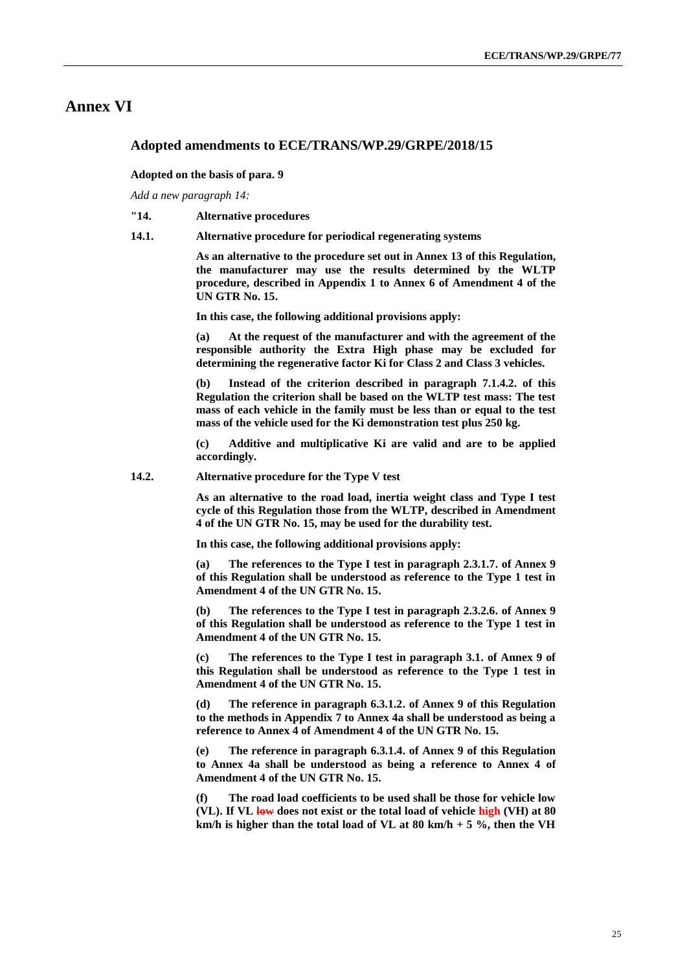## **Annex VI**

#### **Adopted amendments to ECE/TRANS/WP.29/GRPE/2018/15**

#### **Adopted on the basis of para. 9**

*Add a new paragraph 14:* 

#### **"14. Alternative procedures**

**14.1. Alternative procedure for periodical regenerating systems**

**As an alternative to the procedure set out in Annex 13 of this Regulation, the manufacturer may use the results determined by the WLTP procedure, described in Appendix 1 to Annex 6 of Amendment 4 of the UN GTR No. 15.**

**In this case, the following additional provisions apply:**

**(a) At the request of the manufacturer and with the agreement of the responsible authority the Extra High phase may be excluded for determining the regenerative factor Ki for Class 2 and Class 3 vehicles.**

**(b) Instead of the criterion described in paragraph 7.1.4.2. of this Regulation the criterion shall be based on the WLTP test mass: The test mass of each vehicle in the family must be less than or equal to the test mass of the vehicle used for the Ki demonstration test plus 250 kg.**

**(c) Additive and multiplicative Ki are valid and are to be applied accordingly.**

**14.2. Alternative procedure for the Type V test**

**As an alternative to the road load, inertia weight class and Type I test cycle of this Regulation those from the WLTP, described in Amendment 4 of the UN GTR No. 15, may be used for the durability test.**

**In this case, the following additional provisions apply:**

**(a) The references to the Type I test in paragraph 2.3.1.7. of Annex 9 of this Regulation shall be understood as reference to the Type 1 test in Amendment 4 of the UN GTR No. 15.**

**(b) The references to the Type I test in paragraph 2.3.2.6. of Annex 9 of this Regulation shall be understood as reference to the Type 1 test in Amendment 4 of the UN GTR No. 15.**

**(c) The references to the Type I test in paragraph 3.1. of Annex 9 of this Regulation shall be understood as reference to the Type 1 test in Amendment 4 of the UN GTR No. 15.**

**(d) The reference in paragraph 6.3.1.2. of Annex 9 of this Regulation to the methods in Appendix 7 to Annex 4a shall be understood as being a reference to Annex 4 of Amendment 4 of the UN GTR No. 15.**

**(e) The reference in paragraph 6.3.1.4. of Annex 9 of this Regulation to Annex 4a shall be understood as being a reference to Annex 4 of Amendment 4 of the UN GTR No. 15.**

**(f) The road load coefficients to be used shall be those for vehicle low (VL). If VL low does not exist or the total load of vehicle high (VH) at 80 km/h is higher than the total load of VL at 80 km/h + 5 %, then the VH**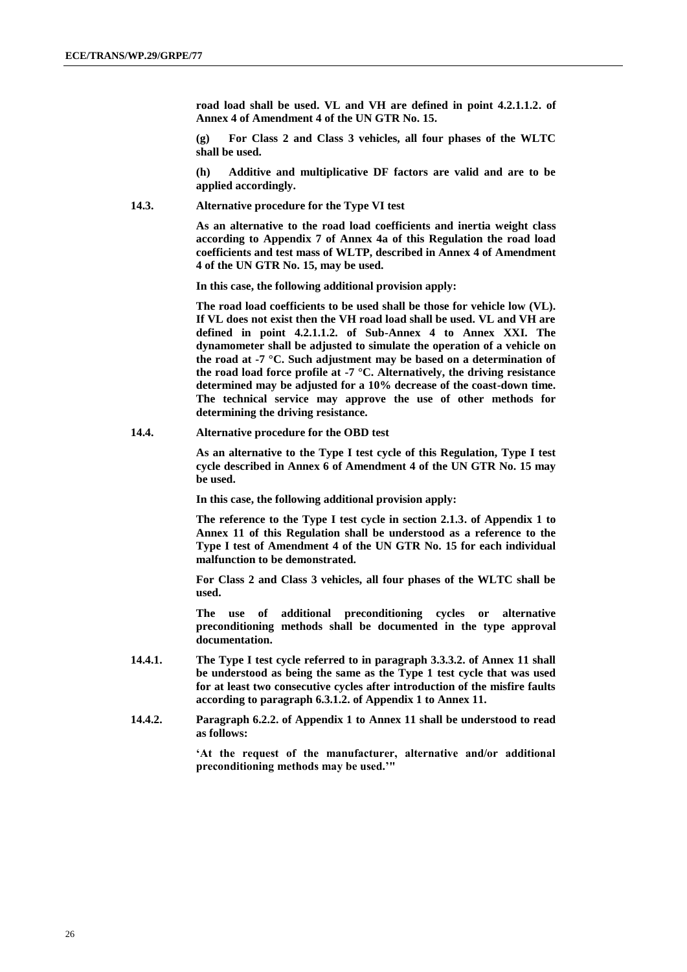**road load shall be used. VL and VH are defined in point 4.2.1.1.2. of Annex 4 of Amendment 4 of the UN GTR No. 15.**

**(g) For Class 2 and Class 3 vehicles, all four phases of the WLTC shall be used.**

**(h) Additive and multiplicative DF factors are valid and are to be applied accordingly.**

**14.3. Alternative procedure for the Type VI test**

**As an alternative to the road load coefficients and inertia weight class according to Appendix 7 of Annex 4a of this Regulation the road load coefficients and test mass of WLTP, described in Annex 4 of Amendment 4 of the UN GTR No. 15, may be used.**

**In this case, the following additional provision apply:**

**The road load coefficients to be used shall be those for vehicle low (VL). If VL does not exist then the VH road load shall be used. VL and VH are defined in point 4.2.1.1.2. of Sub-Annex 4 to Annex XXI. The dynamometer shall be adjusted to simulate the operation of a vehicle on the road at -7 °C. Such adjustment may be based on a determination of the road load force profile at -7 °C. Alternatively, the driving resistance determined may be adjusted for a 10% decrease of the coast-down time. The technical service may approve the use of other methods for determining the driving resistance.**

**14.4. Alternative procedure for the OBD test**

**As an alternative to the Type I test cycle of this Regulation, Type I test cycle described in Annex 6 of Amendment 4 of the UN GTR No. 15 may be used.** 

**In this case, the following additional provision apply:**

**The reference to the Type I test cycle in section 2.1.3. of Appendix 1 to Annex 11 of this Regulation shall be understood as a reference to the Type I test of Amendment 4 of the UN GTR No. 15 for each individual malfunction to be demonstrated.**

**For Class 2 and Class 3 vehicles, all four phases of the WLTC shall be used.** 

**The use of additional preconditioning cycles or alternative preconditioning methods shall be documented in the type approval documentation.**

- **14.4.1. The Type I test cycle referred to in paragraph 3.3.3.2. of Annex 11 shall be understood as being the same as the Type 1 test cycle that was used for at least two consecutive cycles after introduction of the misfire faults according to paragraph 6.3.1.2. of Appendix 1 to Annex 11.**
- **14.4.2. Paragraph 6.2.2. of Appendix 1 to Annex 11 shall be understood to read as follows:**

**'At the request of the manufacturer, alternative and/or additional preconditioning methods may be used.'"**